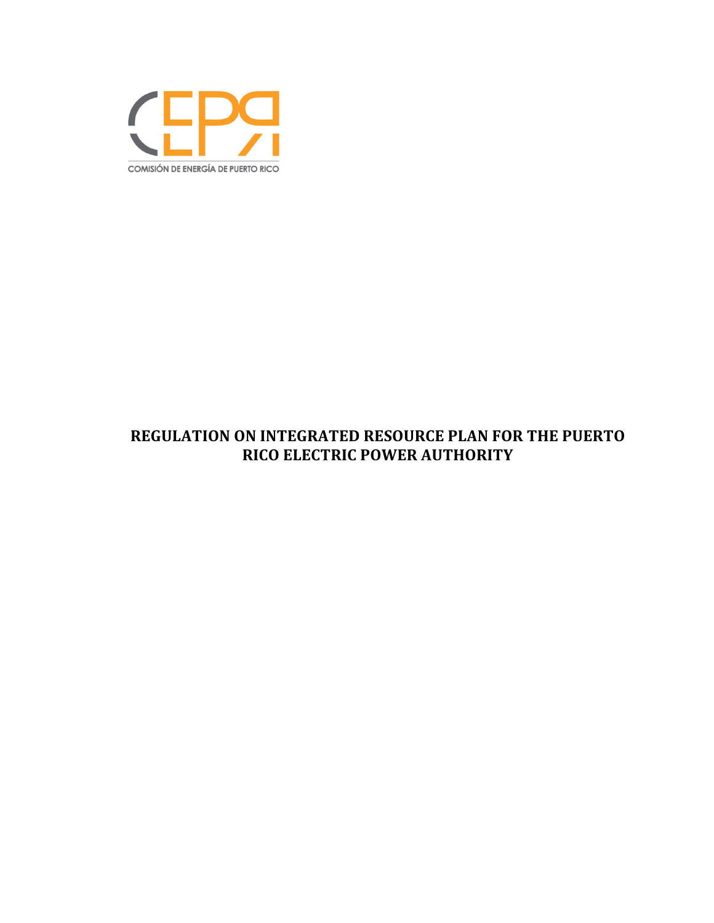

# **REGULATION ON INTEGRATED RESOURCE PLAN FOR THE PUERTO RICO ELECTRIC POWER AUTHORITY**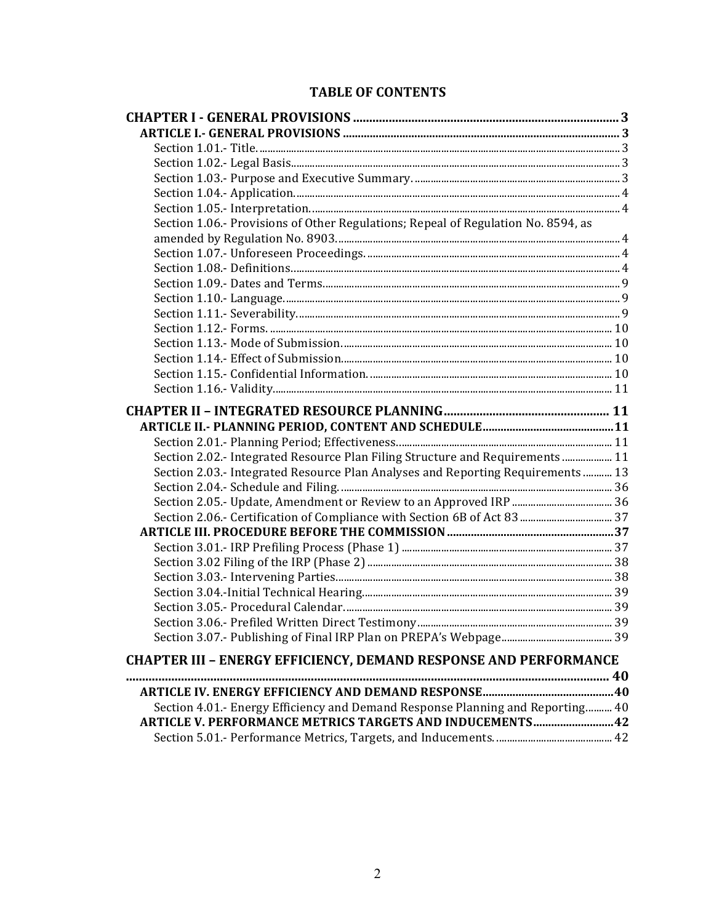# **TABLE OF CONTENTS**

| Section 1.06.- Provisions of Other Regulations; Repeal of Regulation No. 8594, as |  |
|-----------------------------------------------------------------------------------|--|
|                                                                                   |  |
|                                                                                   |  |
|                                                                                   |  |
|                                                                                   |  |
|                                                                                   |  |
|                                                                                   |  |
|                                                                                   |  |
|                                                                                   |  |
|                                                                                   |  |
|                                                                                   |  |
|                                                                                   |  |
|                                                                                   |  |
|                                                                                   |  |
|                                                                                   |  |
| Section 2.02.- Integrated Resource Plan Filing Structure and Requirements  11     |  |
| Section 2.03.- Integrated Resource Plan Analyses and Reporting Requirements  13   |  |
|                                                                                   |  |
|                                                                                   |  |
|                                                                                   |  |
|                                                                                   |  |
|                                                                                   |  |
|                                                                                   |  |
|                                                                                   |  |
|                                                                                   |  |
|                                                                                   |  |
|                                                                                   |  |
|                                                                                   |  |
| <b>CHAPTER III - ENERGY EFFICIENCY, DEMAND RESPONSE AND PERFORMANCE</b>           |  |
|                                                                                   |  |
|                                                                                   |  |
| Section 4.01.- Energy Efficiency and Demand Response Planning and Reporting 40    |  |
| <b>ARTICLE V. PERFORMANCE METRICS TARGETS AND INDUCEMENTS 42</b>                  |  |
|                                                                                   |  |
|                                                                                   |  |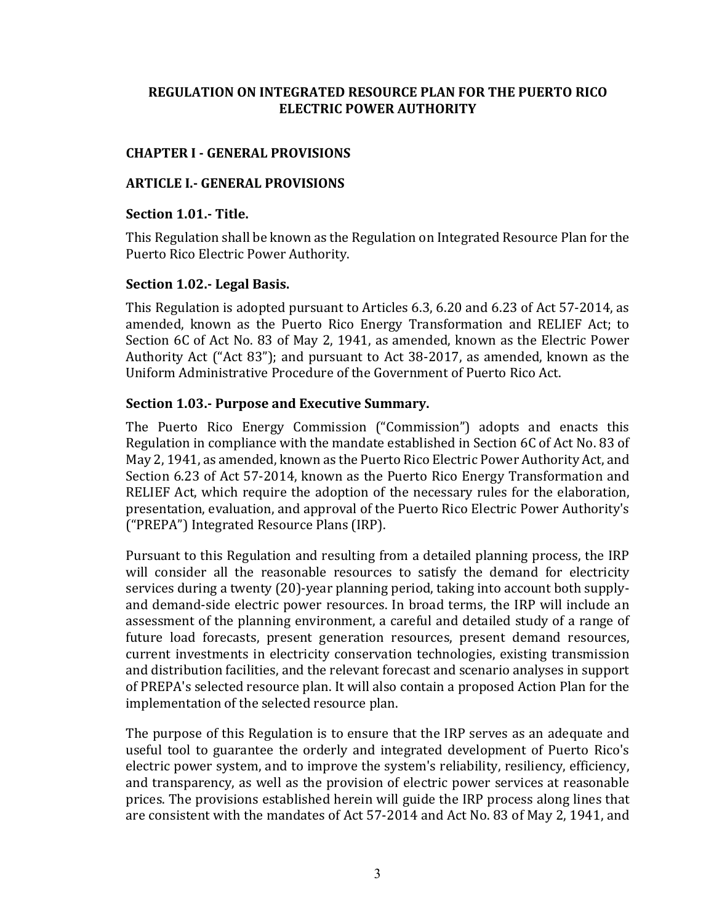# **REGULATION ON INTEGRATED RESOURCE PLAN FOR THE PUERTO RICO ELECTRIC POWER AUTHORITY**

### **CHAPTER I - GENERAL PROVISIONS**

### **ARTICLE I.- GENERAL PROVISIONS**

#### **Section 1.01.- Title.**

This Regulation shall be known as the Regulation on Integrated Resource Plan for the Puerto Rico Electric Power Authority.

### **Section 1.02.- Legal Basis.**

This Regulation is adopted pursuant to Articles 6.3, 6.20 and 6.23 of Act 57-2014, as amended, known as the Puerto Rico Energy Transformation and RELIEF Act; to Section 6C of Act No. 83 of May 2, 1941, as amended, known as the Electric Power Authority Act ("Act 83"); and pursuant to Act 38-2017, as amended, known as the Uniform Administrative Procedure of the Government of Puerto Rico Act.

# **Section 1.03.- Purpose and Executive Summary.**

The Puerto Rico Energy Commission ("Commission") adopts and enacts this Regulation in compliance with the mandate established in Section 6C of Act No. 83 of May 2, 1941, as amended, known as the Puerto Rico Electric Power Authority Act, and Section 6.23 of Act 57-2014, known as the Puerto Rico Energy Transformation and RELIEF Act, which require the adoption of the necessary rules for the elaboration, presentation, evaluation, and approval of the Puerto Rico Electric Power Authority's ("PREPA") Integrated Resource Plans (IRP).

Pursuant to this Regulation and resulting from a detailed planning process, the IRP will consider all the reasonable resources to satisfy the demand for electricity services during a twenty (20)-year planning period, taking into account both supplyand demand-side electric power resources. In broad terms, the IRP will include an assessment of the planning environment, a careful and detailed study of a range of future load forecasts, present generation resources, present demand resources, current investments in electricity conservation technologies, existing transmission and distribution facilities, and the relevant forecast and scenario analyses in support of PREPA's selected resource plan. It will also contain a proposed Action Plan for the implementation of the selected resource plan.

The purpose of this Regulation is to ensure that the IRP serves as an adequate and useful tool to guarantee the orderly and integrated development of Puerto Rico's electric power system, and to improve the system's reliability, resiliency, efficiency, and transparency, as well as the provision of electric power services at reasonable prices. The provisions established herein will guide the IRP process along lines that are consistent with the mandates of Act 57-2014 and Act No. 83 of May 2, 1941, and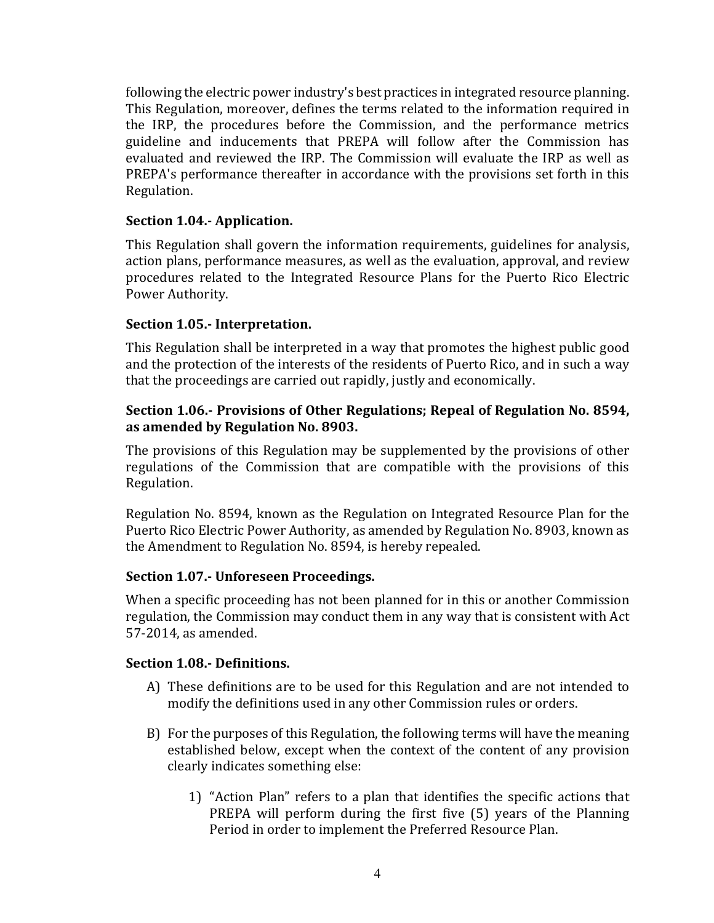following the electric power industry's best practices in integrated resource planning. This Regulation, moreover, defines the terms related to the information required in the IRP, the procedures before the Commission, and the performance metrics guideline and inducements that PREPA will follow after the Commission has evaluated and reviewed the IRP. The Commission will evaluate the IRP as well as PREPA's performance thereafter in accordance with the provisions set forth in this Regulation. 

### **Section 1.04.- Application.**

This Regulation shall govern the information requirements, guidelines for analysis, action plans, performance measures, as well as the evaluation, approval, and review procedures related to the Integrated Resource Plans for the Puerto Rico Electric Power Authority.

### **Section 1.05.- Interpretation.**

This Regulation shall be interpreted in a way that promotes the highest public good and the protection of the interests of the residents of Puerto Rico, and in such a way that the proceedings are carried out rapidly, justly and economically.

### **Section 1.06.- Provisions of Other Regulations; Repeal of Regulation No. 8594,** as amended by Regulation No. 8903.

The provisions of this Regulation may be supplemented by the provisions of other regulations of the Commission that are compatible with the provisions of this Regulation. 

Regulation No. 8594, known as the Regulation on Integrated Resource Plan for the Puerto Rico Electric Power Authority, as amended by Regulation No. 8903, known as the Amendment to Regulation No. 8594, is hereby repealed.

# **Section 1.07.- Unforeseen Proceedings.**

When a specific proceeding has not been planned for in this or another Commission regulation, the Commission may conduct them in any way that is consistent with Act 57-2014, as amended.

#### **Section 1.08.- Definitions.**

- A) These definitions are to be used for this Regulation and are not intended to modify the definitions used in any other Commission rules or orders.
- B) For the purposes of this Regulation, the following terms will have the meaning established below, except when the context of the content of any provision clearly indicates something else:
	- 1) "Action Plan" refers to a plan that identifies the specific actions that PREPA will perform during the first five (5) years of the Planning Period in order to implement the Preferred Resource Plan.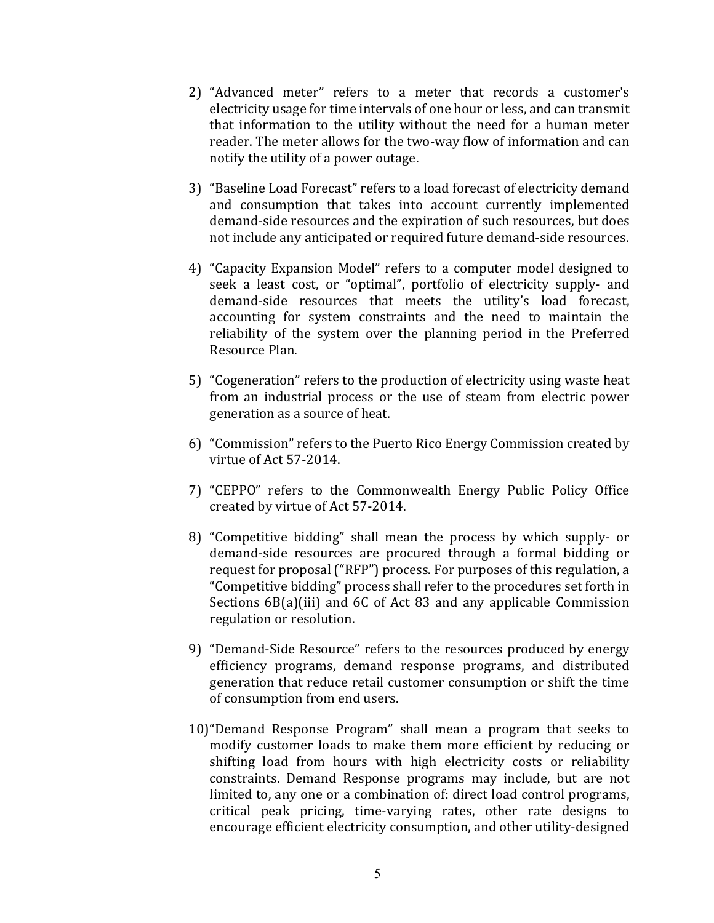- 2) "Advanced meter" refers to a meter that records a customer's electricity usage for time intervals of one hour or less, and can transmit that information to the utility without the need for a human meter reader. The meter allows for the two-way flow of information and can notify the utility of a power outage.
- 3) "Baseline Load Forecast" refers to a load forecast of electricity demand and consumption that takes into account currently implemented demand-side resources and the expiration of such resources, but does not include any anticipated or required future demand-side resources.
- 4) "Capacity Expansion Model" refers to a computer model designed to seek a least cost, or "optimal", portfolio of electricity supply- and demand-side resources that meets the utility's load forecast, accounting for system constraints and the need to maintain the reliability of the system over the planning period in the Preferred Resource Plan.
- 5) "Cogeneration" refers to the production of electricity using waste heat from an industrial process or the use of steam from electric power generation as a source of heat.
- 6) "Commission" refers to the Puerto Rico Energy Commission created by virtue of Act 57-2014.
- 7) "CEPPO" refers to the Commonwealth Energy Public Policy Office created by virtue of Act 57-2014.
- 8) "Competitive bidding" shall mean the process by which supply- or demand-side resources are procured through a formal bidding or request for proposal ("RFP") process. For purposes of this regulation, a "Competitive bidding" process shall refer to the procedures set forth in Sections  $6B(a)$ (iii) and  $6C$  of Act 83 and any applicable Commission regulation or resolution.
- 9) "Demand-Side Resource" refers to the resources produced by energy efficiency programs, demand response programs, and distributed generation that reduce retail customer consumption or shift the time of consumption from end users.
- 10) "Demand Response Program" shall mean a program that seeks to modify customer loads to make them more efficient by reducing or shifting load from hours with high electricity costs or reliability constraints. Demand Response programs may include, but are not limited to, any one or a combination of: direct load control programs, critical peak pricing, time-varying rates, other rate designs to encourage efficient electricity consumption, and other utility-designed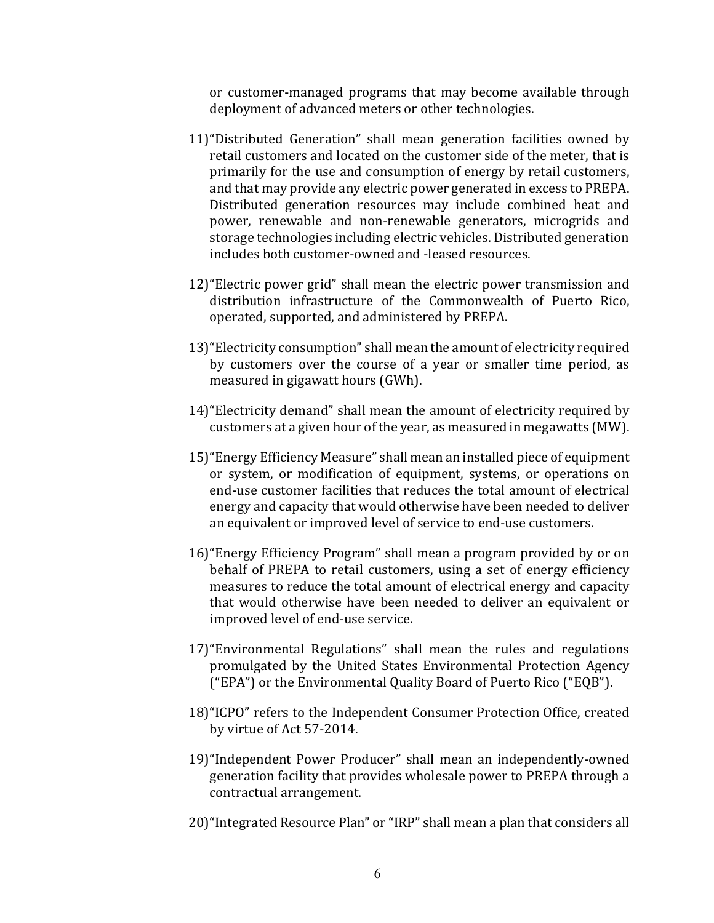or customer-managed programs that may become available through deployment of advanced meters or other technologies.

- 11) "Distributed Generation" shall mean generation facilities owned by retail customers and located on the customer side of the meter, that is primarily for the use and consumption of energy by retail customers, and that may provide any electric power generated in excess to PREPA. Distributed generation resources may include combined heat and power, renewable and non-renewable generators, microgrids and storage technologies including electric vehicles. Distributed generation includes both customer-owned and -leased resources.
- 12) "Electric power grid" shall mean the electric power transmission and distribution infrastructure of the Commonwealth of Puerto Rico, operated, supported, and administered by PREPA.
- 13) "Electricity consumption" shall mean the amount of electricity required by customers over the course of a year or smaller time period, as measured in gigawatt hours (GWh).
- 14) "Electricity demand" shall mean the amount of electricity required by customers at a given hour of the year, as measured in megawatts (MW).
- 15) "Energy Efficiency Measure" shall mean an installed piece of equipment or system, or modification of equipment, systems, or operations on end-use customer facilities that reduces the total amount of electrical energy and capacity that would otherwise have been needed to deliver an equivalent or improved level of service to end-use customers.
- 16) "Energy Efficiency Program" shall mean a program provided by or on behalf of PREPA to retail customers, using a set of energy efficiency measures to reduce the total amount of electrical energy and capacity that would otherwise have been needed to deliver an equivalent or improved level of end-use service.
- 17) "Environmental Regulations" shall mean the rules and regulations promulgated by the United States Environmental Protection Agency ("EPA") or the Environmental Quality Board of Puerto Rico ("EQB").
- 18)"ICPO" refers to the Independent Consumer Protection Office, created by virtue of Act 57-2014.
- 19) "Independent Power Producer" shall mean an independently-owned generation facility that provides wholesale power to PREPA through a contractual arrangement.
- 20) "Integrated Resource Plan" or "IRP" shall mean a plan that considers all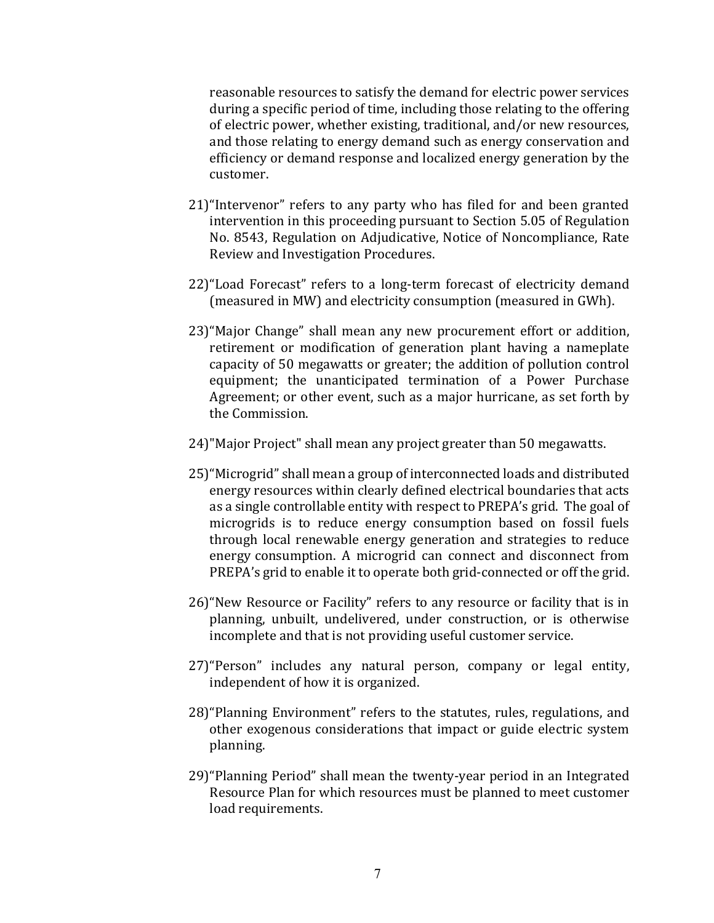reasonable resources to satisfy the demand for electric power services during a specific period of time, including those relating to the offering of electric power, whether existing, traditional, and/or new resources, and those relating to energy demand such as energy conservation and efficiency or demand response and localized energy generation by the customer. 

- 21) "Intervenor" refers to any party who has filed for and been granted intervention in this proceeding pursuant to Section 5.05 of Regulation No. 8543, Regulation on Adjudicative, Notice of Noncompliance, Rate Review and Investigation Procedures.
- 22)"Load Forecast" refers to a long-term forecast of electricity demand (measured in MW) and electricity consumption (measured in GWh).
- 23) "Major Change" shall mean any new procurement effort or addition, retirement or modification of generation plant having a nameplate capacity of 50 megawatts or greater; the addition of pollution control equipment; the unanticipated termination of a Power Purchase Agreement; or other event, such as a major hurricane, as set forth by the Commission
- 24)"Major Project" shall mean any project greater than 50 megawatts.
- 25) "Microgrid" shall mean a group of interconnected loads and distributed energy resources within clearly defined electrical boundaries that acts as a single controllable entity with respect to PREPA's grid. The goal of microgrids is to reduce energy consumption based on fossil fuels through local renewable energy generation and strategies to reduce energy consumption. A microgrid can connect and disconnect from PREPA's grid to enable it to operate both grid-connected or off the grid.
- 26) "New Resource or Facility" refers to any resource or facility that is in planning, unbuilt, undelivered, under construction, or is otherwise incomplete and that is not providing useful customer service.
- 27) "Person" includes any natural person, company or legal entity, independent of how it is organized.
- 28) "Planning Environment" refers to the statutes, rules, regulations, and other exogenous considerations that impact or guide electric system planning.
- 29) "Planning Period" shall mean the twenty-year period in an Integrated Resource Plan for which resources must be planned to meet customer load requirements.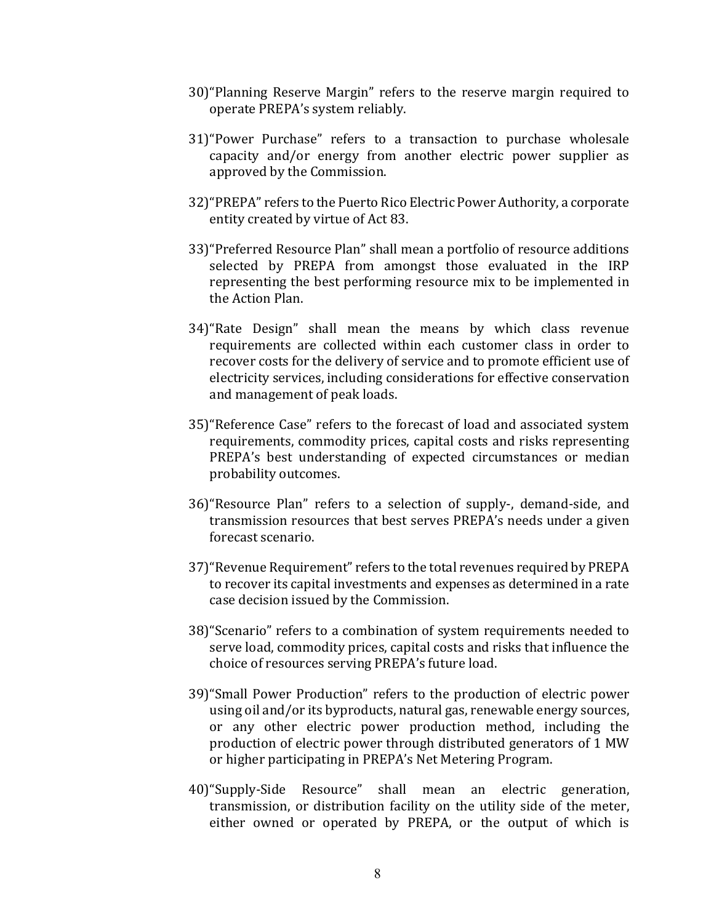- 30) "Planning Reserve Margin" refers to the reserve margin required to operate PREPA's system reliably.
- 31) "Power Purchase" refers to a transaction to purchase wholesale capacity and/or energy from another electric power supplier as approved by the Commission.
- 32) "PREPA" refers to the Puerto Rico Electric Power Authority, a corporate entity created by virtue of Act 83.
- 33) "Preferred Resource Plan" shall mean a portfolio of resource additions selected by PREPA from amongst those evaluated in the IRP representing the best performing resource mix to be implemented in the Action Plan.
- 34) "Rate Design" shall mean the means by which class revenue requirements are collected within each customer class in order to recover costs for the delivery of service and to promote efficient use of electricity services, including considerations for effective conservation and management of peak loads.
- 35) "Reference Case" refers to the forecast of load and associated system requirements, commodity prices, capital costs and risks representing PREPA's best understanding of expected circumstances or median probability outcomes.
- 36) "Resource Plan" refers to a selection of supply-, demand-side, and transmission resources that best serves PREPA's needs under a given forecast scenario.
- 37) "Revenue Requirement" refers to the total revenues required by PREPA to recover its capital investments and expenses as determined in a rate case decision issued by the Commission.
- 38) "Scenario" refers to a combination of system requirements needed to serve load, commodity prices, capital costs and risks that influence the choice of resources serving PREPA's future load.
- 39) "Small Power Production" refers to the production of electric power using oil and/or its byproducts, natural gas, renewable energy sources, or any other electric power production method, including the production of electric power through distributed generators of 1 MW or higher participating in PREPA's Net Metering Program.
- 40)"Supply-Side Resource" shall mean an electric generation, transmission, or distribution facility on the utility side of the meter, either owned or operated by PREPA, or the output of which is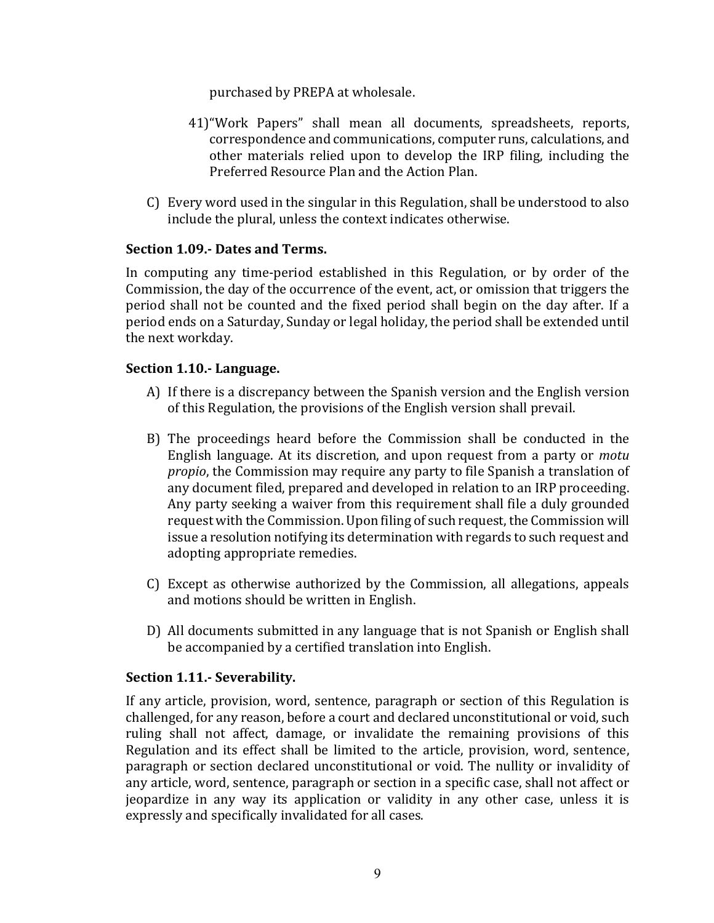purchased by PREPA at wholesale.

- 41) "Work Papers" shall mean all documents, spreadsheets, reports, correspondence and communications, computer runs, calculations, and other materials relied upon to develop the IRP filing, including the Preferred Resource Plan and the Action Plan.
- $C$ ) Every word used in the singular in this Regulation, shall be understood to also include the plural, unless the context indicates otherwise.

# **Section 1.09.- Dates and Terms.**

In computing any time-period established in this Regulation, or by order of the Commission, the day of the occurrence of the event, act, or omission that triggers the period shall not be counted and the fixed period shall begin on the day after. If a period ends on a Saturday, Sunday or legal holiday, the period shall be extended until the next workday.

### **Section 1.10.- Language.**

- A) If there is a discrepancy between the Spanish version and the English version of this Regulation, the provisions of the English version shall prevail.
- B) The proceedings heard before the Commission shall be conducted in the English language. At its discretion, and upon request from a party or *motu propio*, the Commission may require any party to file Spanish a translation of any document filed, prepared and developed in relation to an IRP proceeding. Any party seeking a waiver from this requirement shall file a duly grounded request with the Commission. Upon filing of such request, the Commission will issue a resolution notifying its determination with regards to such request and adopting appropriate remedies.
- $C$ ) Except as otherwise authorized by the Commission, all allegations, appeals and motions should be written in English.
- D) All documents submitted in any language that is not Spanish or English shall be accompanied by a certified translation into English.

# **Section 1.11.- Severability.**

If any article, provision, word, sentence, paragraph or section of this Regulation is challenged, for any reason, before a court and declared unconstitutional or void, such ruling shall not affect, damage, or invalidate the remaining provisions of this Regulation and its effect shall be limited to the article, provision, word, sentence, paragraph or section declared unconstitutional or void. The nullity or invalidity of any article, word, sentence, paragraph or section in a specific case, shall not affect or jeopardize in any way its application or validity in any other case, unless it is expressly and specifically invalidated for all cases.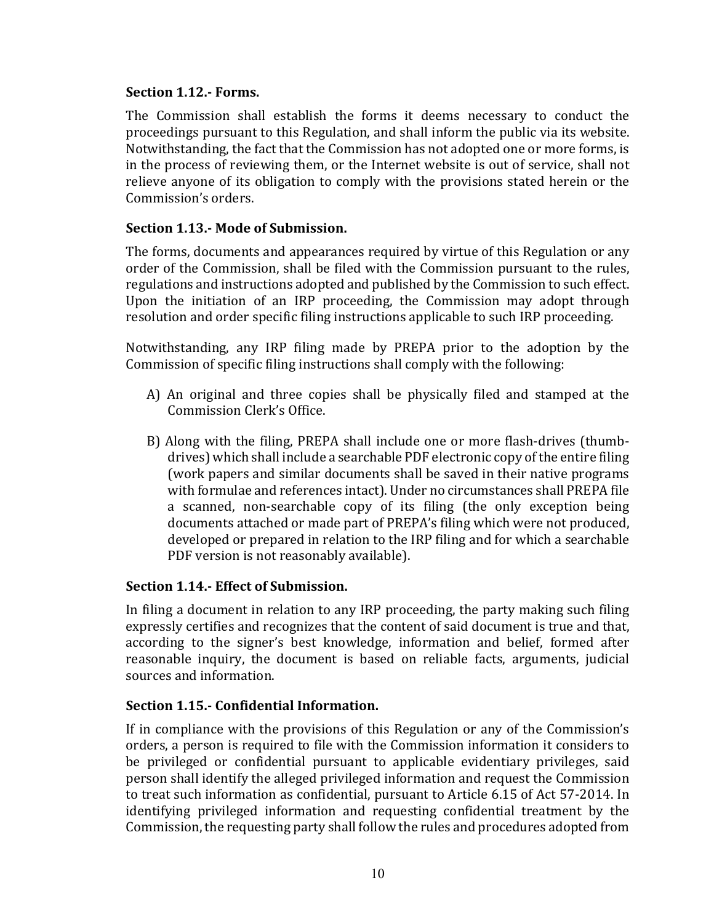### **Section 1.12.- Forms.**

The Commission shall establish the forms it deems necessary to conduct the proceedings pursuant to this Regulation, and shall inform the public via its website. Notwithstanding, the fact that the Commission has not adopted one or more forms, is in the process of reviewing them, or the Internet website is out of service, shall not relieve anyone of its obligation to comply with the provisions stated herein or the Commission's orders.

### **Section 1.13.- Mode of Submission.**

The forms, documents and appearances required by virtue of this Regulation or any order of the Commission, shall be filed with the Commission pursuant to the rules, regulations and instructions adopted and published by the Commission to such effect. Upon the initiation of an IRP proceeding, the Commission may adopt through resolution and order specific filing instructions applicable to such IRP proceeding.

Notwithstanding, any IRP filing made by PREPA prior to the adoption by the Commission of specific filing instructions shall comply with the following:

- A) An original and three copies shall be physically filed and stamped at the Commission Clerk's Office.
- B) Along with the filing, PREPA shall include one or more flash-drives (thumbdrives) which shall include a searchable PDF electronic copy of the entire filing (work papers and similar documents shall be saved in their native programs with formulae and references intact). Under no circumstances shall PREPA file a scanned, non-searchable copy of its filing (the only exception being documents attached or made part of PREPA's filing which were not produced, developed or prepared in relation to the IRP filing and for which a searchable PDF version is not reasonably available).

# **Section 1.14.- Effect of Submission.**

In filing a document in relation to any IRP proceeding, the party making such filing expressly certifies and recognizes that the content of said document is true and that, according to the signer's best knowledge, information and belief, formed after reasonable inquiry, the document is based on reliable facts, arguments, judicial sources and information.

#### **Section 1.15.- Confidential Information.**

If in compliance with the provisions of this Regulation or any of the Commission's orders, a person is required to file with the Commission information it considers to be privileged or confidential pursuant to applicable evidentiary privileges, said person shall identify the alleged privileged information and request the Commission to treat such information as confidential, pursuant to Article 6.15 of Act 57-2014. In identifying privileged information and requesting confidential treatment by the Commission, the requesting party shall follow the rules and procedures adopted from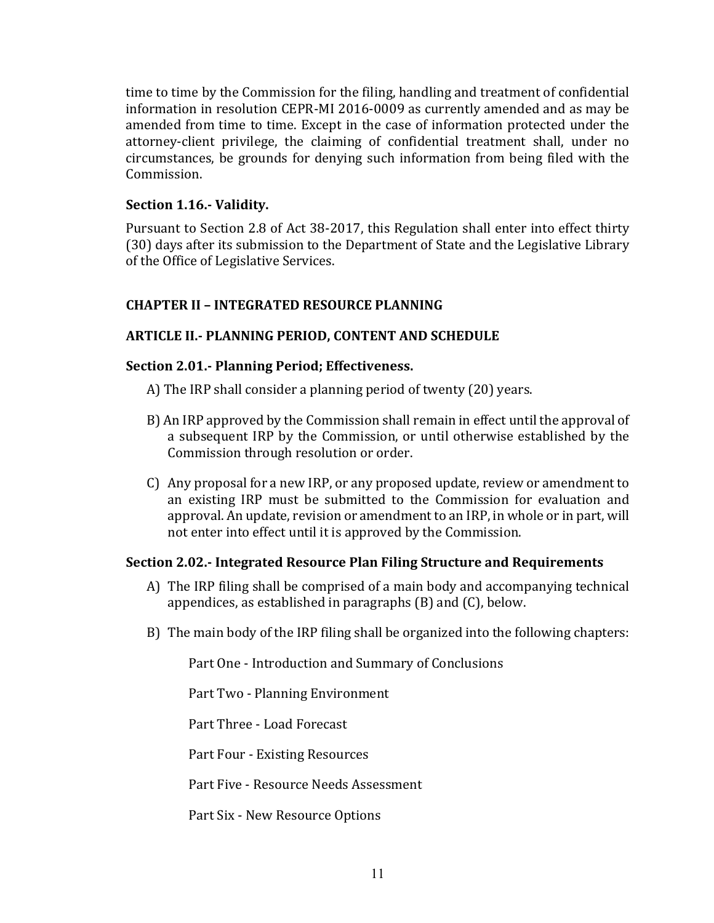time to time by the Commission for the filing, handling and treatment of confidential information in resolution CEPR-MI 2016-0009 as currently amended and as may be amended from time to time. Except in the case of information protected under the attorney-client privilege, the claiming of confidential treatment shall, under no circumstances, be grounds for denying such information from being filed with the Commission. 

# **Section 1.16.- Validity.**

Pursuant to Section 2.8 of Act 38-2017, this Regulation shall enter into effect thirty (30) days after its submission to the Department of State and the Legislative Library of the Office of Legislative Services.

# **CHAPTER II – INTEGRATED RESOURCE PLANNING**

# **ARTICLE II.- PLANNING PERIOD, CONTENT AND SCHEDULE**

# **Section 2.01.- Planning Period; Effectiveness.**

- A) The IRP shall consider a planning period of twenty (20) years.
- B) An IRP approved by the Commission shall remain in effect until the approval of a subsequent IRP by the Commission, or until otherwise established by the Commission through resolution or order.
- C) Any proposal for a new IRP, or any proposed update, review or amendment to an existing IRP must be submitted to the Commission for evaluation and approval. An update, revision or amendment to an IRP, in whole or in part, will not enter into effect until it is approved by the Commission.

# **Section 2.02.- Integrated Resource Plan Filing Structure and Requirements**

- A) The IRP filing shall be comprised of a main body and accompanying technical appendices, as established in paragraphs  $(B)$  and  $(C)$ , below.
- B) The main body of the IRP filing shall be organized into the following chapters:

Part One - Introduction and Summary of Conclusions

Part Two - Planning Environment

Part Three - Load Forecast

Part Four - Existing Resources

Part Five - Resource Needs Assessment

Part Six - New Resource Options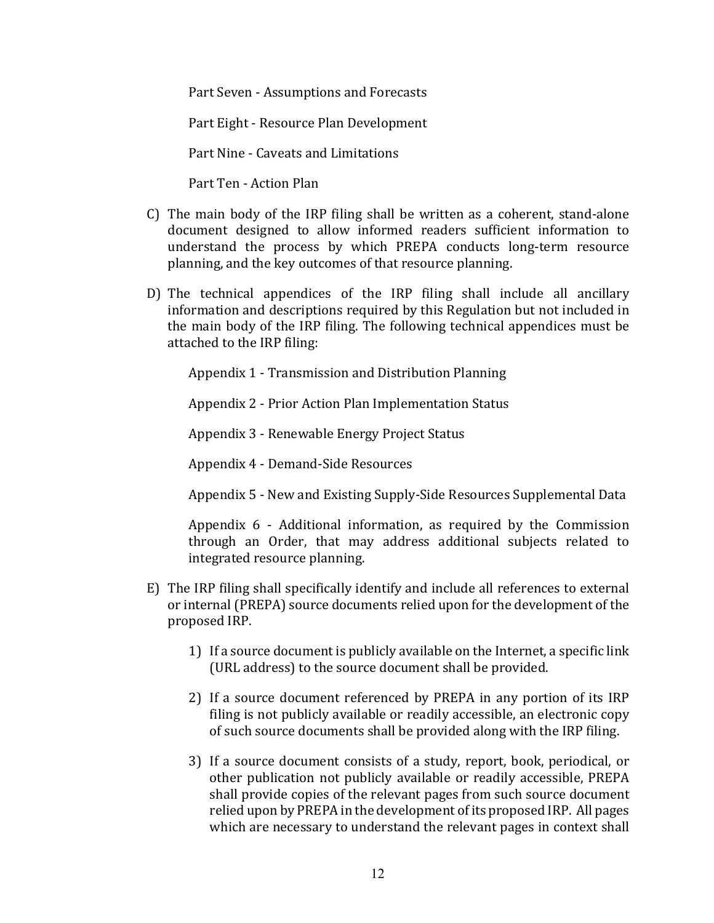Part Seven - Assumptions and Forecasts

Part Eight - Resource Plan Development

Part Nine - Caveats and Limitations

Part Ten - Action Plan

- C) The main body of the IRP filing shall be written as a coherent, stand-alone document designed to allow informed readers sufficient information to understand the process by which PREPA conducts long-term resource planning, and the key outcomes of that resource planning.
- D) The technical appendices of the IRP filing shall include all ancillary information and descriptions required by this Regulation but not included in the main body of the IRP filing. The following technical appendices must be attached to the IRP filing:

Appendix 1 - Transmission and Distribution Planning

Appendix 2 - Prior Action Plan Implementation Status

Appendix 3 - Renewable Energy Project Status

Appendix 4 - Demand-Side Resources

Appendix 5 - New and Existing Supply-Side Resources Supplemental Data

Appendix  $6$  - Additional information, as required by the Commission through an Order, that may address additional subjects related to integrated resource planning.

- E) The IRP filing shall specifically identify and include all references to external or internal (PREPA) source documents relied upon for the development of the proposed IRP.
	- 1) If a source document is publicly available on the Internet, a specific link (URL address) to the source document shall be provided.
	- 2) If a source document referenced by PREPA in any portion of its IRP filing is not publicly available or readily accessible, an electronic copy of such source documents shall be provided along with the IRP filing.
	- 3) If a source document consists of a study, report, book, periodical, or other publication not publicly available or readily accessible, PREPA shall provide copies of the relevant pages from such source document relied upon by PREPA in the development of its proposed IRP. All pages which are necessary to understand the relevant pages in context shall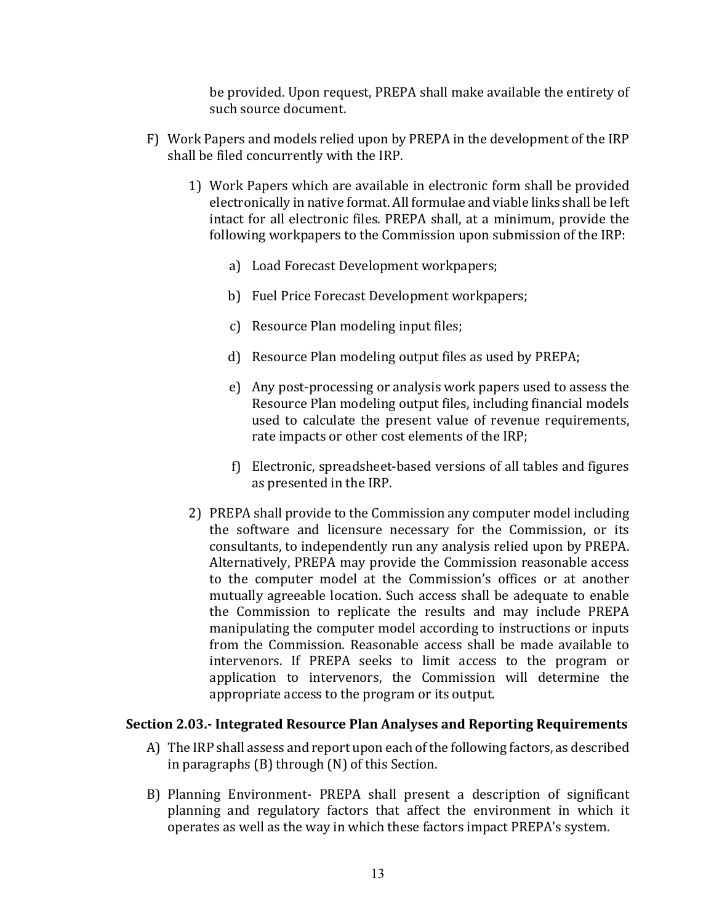be provided. Upon request, PREPA shall make available the entirety of such source document.

- F) Work Papers and models relied upon by PREPA in the development of the IRP shall be filed concurrently with the IRP.
	- 1) Work Papers which are available in electronic form shall be provided electronically in native format. All formulae and viable links shall be left intact for all electronic files. PREPA shall, at a minimum, provide the following workpapers to the Commission upon submission of the IRP:
		- a) Load Forecast Development workpapers;
		- b) Fuel Price Forecast Development workpapers;
		- c) Resource Plan modeling input files;
		- d) Resource Plan modeling output files as used by PREPA;
		- e) Any post-processing or analysis work papers used to assess the Resource Plan modeling output files, including financial models used to calculate the present value of revenue requirements, rate impacts or other cost elements of the IRP;
		- f) Electronic, spreadsheet-based versions of all tables and figures as presented in the IRP.
	- 2) PREPA shall provide to the Commission any computer model including the software and licensure necessary for the Commission, or its consultants, to independently run any analysis relied upon by PREPA. Alternatively, PREPA may provide the Commission reasonable access to the computer model at the Commission's offices or at another mutually agreeable location. Such access shall be adequate to enable the Commission to replicate the results and may include PREPA manipulating the computer model according to instructions or inputs from the Commission. Reasonable access shall be made available to intervenors. If PREPA seeks to limit access to the program or application to intervenors, the Commission will determine the appropriate access to the program or its output.

#### **Section 2.03.- Integrated Resource Plan Analyses and Reporting Requirements**

- A) The IRP shall assess and report upon each of the following factors, as described in paragraphs  $(B)$  through  $(N)$  of this Section.
- B) Planning Environment- PREPA shall present a description of significant planning and regulatory factors that affect the environment in which it operates as well as the way in which these factors impact PREPA's system.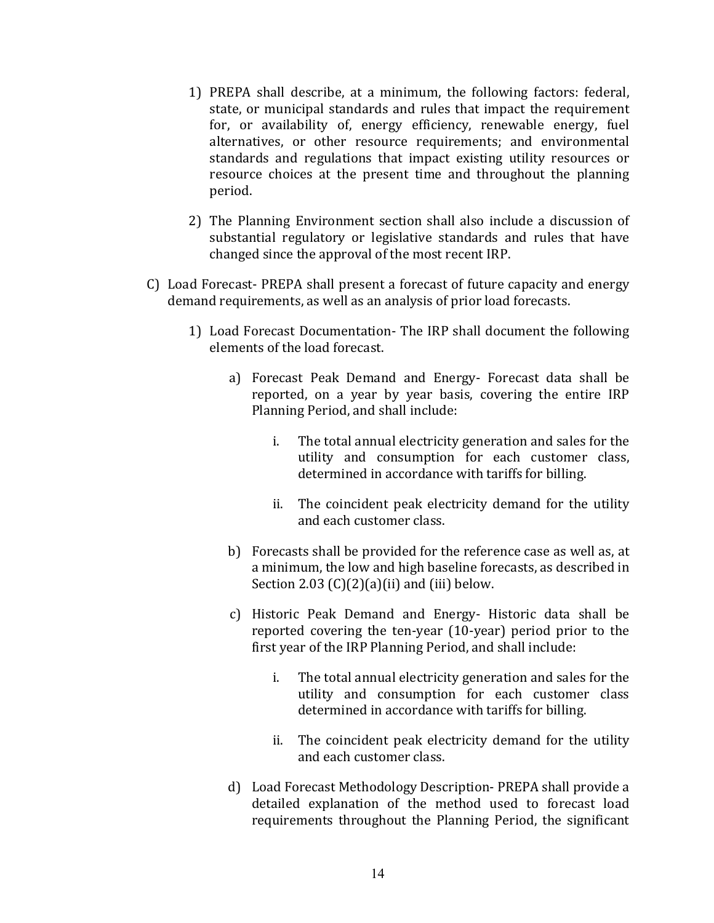- 1) PREPA shall describe, at a minimum, the following factors: federal, state, or municipal standards and rules that impact the requirement for, or availability of, energy efficiency, renewable energy, fuel alternatives, or other resource requirements; and environmental standards and regulations that impact existing utility resources or resource choices at the present time and throughout the planning period.
- 2) The Planning Environment section shall also include a discussion of substantial regulatory or legislative standards and rules that have changed since the approval of the most recent IRP.
- C) Load Forecast- PREPA shall present a forecast of future capacity and energy demand requirements, as well as an analysis of prior load forecasts.
	- 1) Load Forecast Documentation- The IRP shall document the following elements of the load forecast.
		- a) Forecast Peak Demand and Energy- Forecast data shall be reported, on a year by year basis, covering the entire IRP Planning Period, and shall include:
			- i. The total annual electricity generation and sales for the utility and consumption for each customer class, determined in accordance with tariffs for billing.
			- ii. The coincident peak electricity demand for the utility and each customer class.
		- b) Forecasts shall be provided for the reference case as well as, at a minimum, the low and high baseline forecasts, as described in Section 2.03  $(C)(2)(a)(ii)$  and  $(iii)$  below.
		- c) Historic Peak Demand and Energy- Historic data shall be reported covering the ten-year (10-year) period prior to the first year of the IRP Planning Period, and shall include:
			- i. The total annual electricity generation and sales for the utility and consumption for each customer class determined in accordance with tariffs for billing.
			- ii. The coincident peak electricity demand for the utility and each customer class.
		- d) Load Forecast Methodology Description- PREPA shall provide a detailed explanation of the method used to forecast load requirements throughout the Planning Period, the significant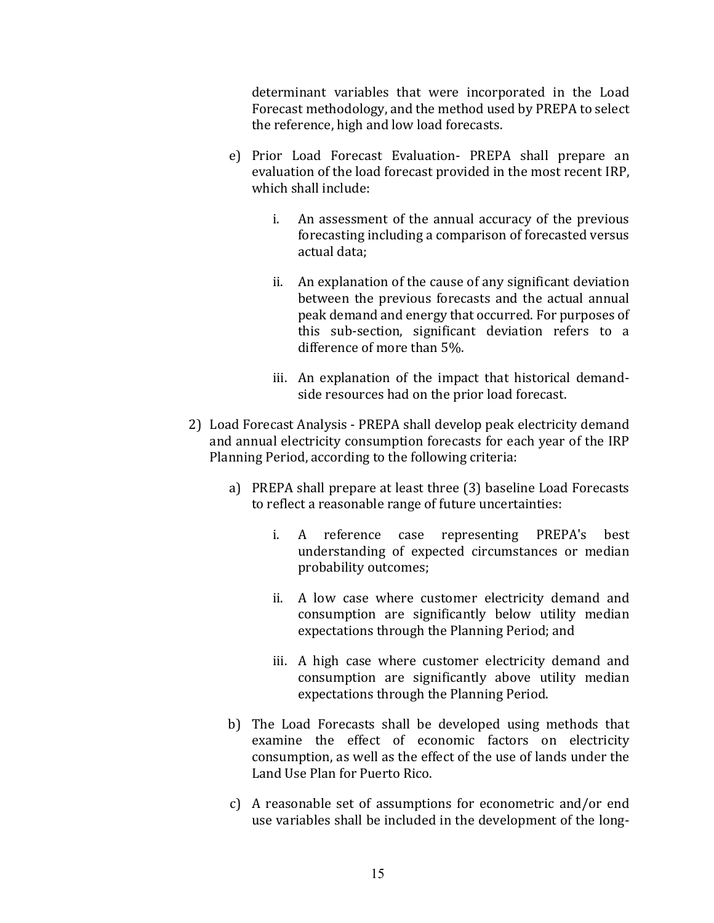determinant variables that were incorporated in the Load Forecast methodology, and the method used by PREPA to select the reference, high and low load forecasts.

- e) Prior Load Forecast Evaluation- PREPA shall prepare an evaluation of the load forecast provided in the most recent IRP, which shall include:
	- i. An assessment of the annual accuracy of the previous forecasting including a comparison of forecasted versus actual data:
	- ii. An explanation of the cause of any significant deviation between the previous forecasts and the actual annual peak demand and energy that occurred. For purposes of this sub-section, significant deviation refers to a difference of more than 5%.
	- iii. An explanation of the impact that historical demandside resources had on the prior load forecast.
- 2) Load Forecast Analysis PREPA shall develop peak electricity demand and annual electricity consumption forecasts for each year of the IRP Planning Period, according to the following criteria:
	- a) PREPA shall prepare at least three (3) baseline Load Forecasts to reflect a reasonable range of future uncertainties:
		- i. A reference case representing PREPA's best understanding of expected circumstances or median probability outcomes;
		- ii. A low case where customer electricity demand and consumption are significantly below utility median expectations through the Planning Period; and
		- iii. A high case where customer electricity demand and consumption are significantly above utility median expectations through the Planning Period.
	- b) The Load Forecasts shall be developed using methods that examine the effect of economic factors on electricity consumption, as well as the effect of the use of lands under the Land Use Plan for Puerto Rico.
	- c) A reasonable set of assumptions for econometric and/or end use variables shall be included in the development of the long-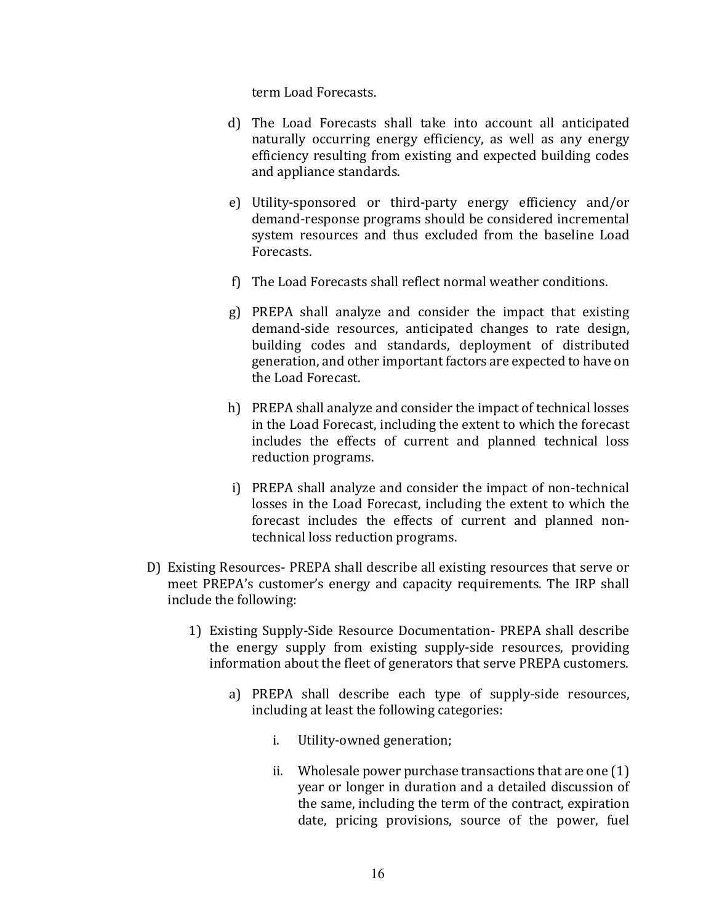term Load Forecasts.

- d) The Load Forecasts shall take into account all anticipated naturally occurring energy efficiency, as well as any energy efficiency resulting from existing and expected building codes and appliance standards.
- e) Utility-sponsored or third-party energy efficiency and/or demand-response programs should be considered incremental system resources and thus excluded from the baseline Load Forecasts.
- f) The Load Forecasts shall reflect normal weather conditions.
- g) PREPA shall analyze and consider the impact that existing demand-side resources, anticipated changes to rate design, building codes and standards, deployment of distributed generation, and other important factors are expected to have on the Load Forecast.
- h) PREPA shall analyze and consider the impact of technical losses in the Load Forecast, including the extent to which the forecast includes the effects of current and planned technical loss reduction programs.
- i) PREPA shall analyze and consider the impact of non-technical losses in the Load Forecast, including the extent to which the forecast includes the effects of current and planned nontechnical loss reduction programs.
- D) Existing Resources- PREPA shall describe all existing resources that serve or meet PREPA's customer's energy and capacity requirements. The IRP shall include the following:
	- 1) Existing Supply-Side Resource Documentation- PREPA shall describe the energy supply from existing supply-side resources, providing information about the fleet of generators that serve PREPA customers.
		- a) PREPA shall describe each type of supply-side resources, including at least the following categories:
			- i. Utility-owned generation;
			- ii. Wholesale power purchase transactions that are one  $(1)$ year or longer in duration and a detailed discussion of the same, including the term of the contract, expiration date, pricing provisions, source of the power, fuel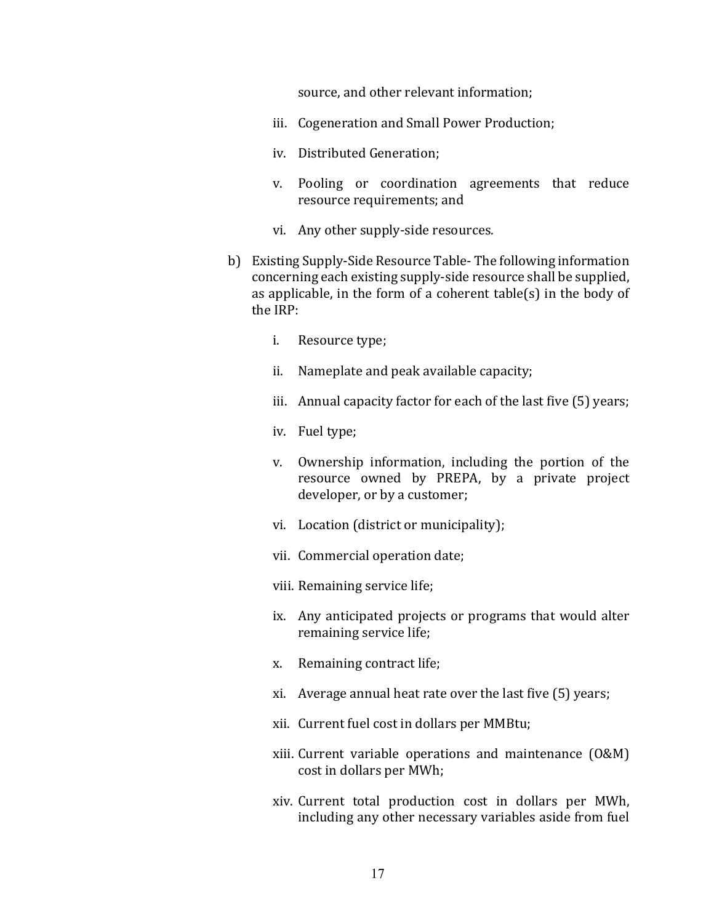source, and other relevant information;

- iii. Cogeneration and Small Power Production;
- iv. Distributed Generation:
- v. Pooling or coordination agreements that reduce resource requirements; and
- vi. Any other supply-side resources.
- b) Existing Supply-Side Resource Table- The following information concerning each existing supply-side resource shall be supplied, as applicable, in the form of a coherent  $table(s)$  in the body of the IRP:
	- i. Resource type;
	- ii. Nameplate and peak available capacity;
	- iii. Annual capacity factor for each of the last five  $(5)$  years;
	- iv. Fuel type;
	- v. Ownership information, including the portion of the resource owned by PREPA, by a private project developer, or by a customer;
	- vi. Location (district or municipality);
	- vii. Commercial operation date;
	- viii. Remaining service life;
	- ix. Any anticipated projects or programs that would alter remaining service life;
	- x. Remaining contract life;
	- xi. Average annual heat rate over the last five  $(5)$  years;
	- xii. Current fuel cost in dollars per MMBtu;
	- xiii. Current variable operations and maintenance (O&M) cost in dollars per MWh;
	- xiv. Current total production cost in dollars per MWh, including any other necessary variables aside from fuel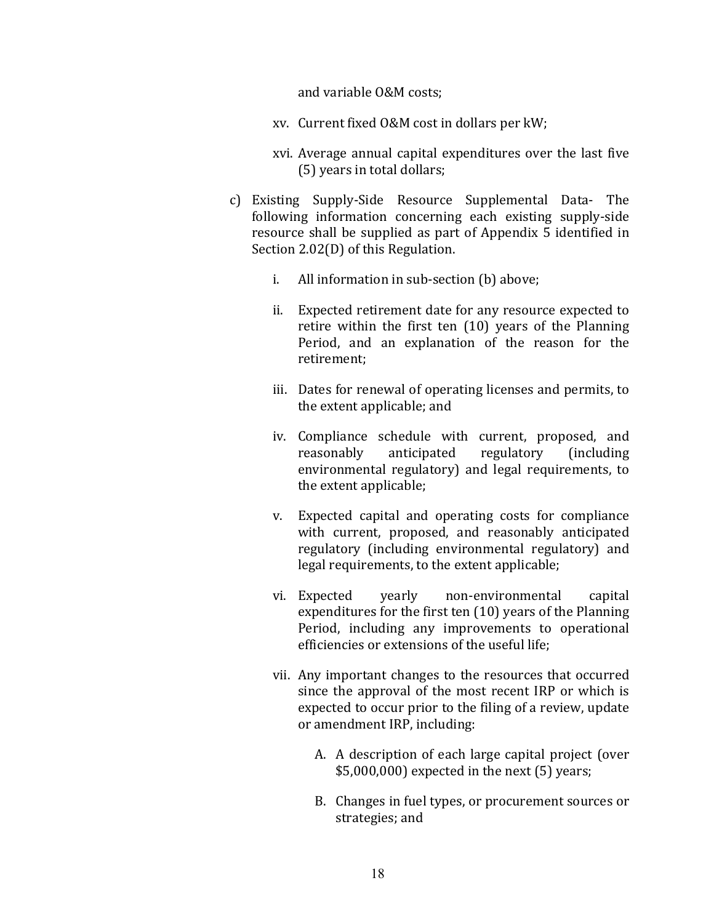and variable O&M costs:

- xv. Current fixed O&M cost in dollars per kW;
- xvi. Average annual capital expenditures over the last five (5) years in total dollars;
- c) Existing Supply-Side Resource Supplemental Data- The following information concerning each existing supply-side resource shall be supplied as part of Appendix 5 identified in Section  $2.02(D)$  of this Regulation.
	- i. All information in sub-section (b) above;
	- ii. Expected retirement date for any resource expected to retire within the first ten  $(10)$  years of the Planning Period, and an explanation of the reason for the retirement;
	- iii. Dates for renewal of operating licenses and permits, to the extent applicable; and
	- iv. Compliance schedule with current, proposed, and reasonably anticipated regulatory (including environmental regulatory) and legal requirements, to the extent applicable;
	- v. Expected capital and operating costs for compliance with current, proposed, and reasonably anticipated regulatory (including environmental regulatory) and legal requirements, to the extent applicable;
	- vi. Expected yearly non-environmental capital expenditures for the first ten  $(10)$  years of the Planning Period, including any improvements to operational efficiencies or extensions of the useful life;
	- vii. Any important changes to the resources that occurred since the approval of the most recent IRP or which is expected to occur prior to the filing of a review, update or amendment IRP, including:
		- A. A description of each large capital project (over  $$5,000,000$  expected in the next  $(5)$  years;
		- B. Changes in fuel types, or procurement sources or strategies; and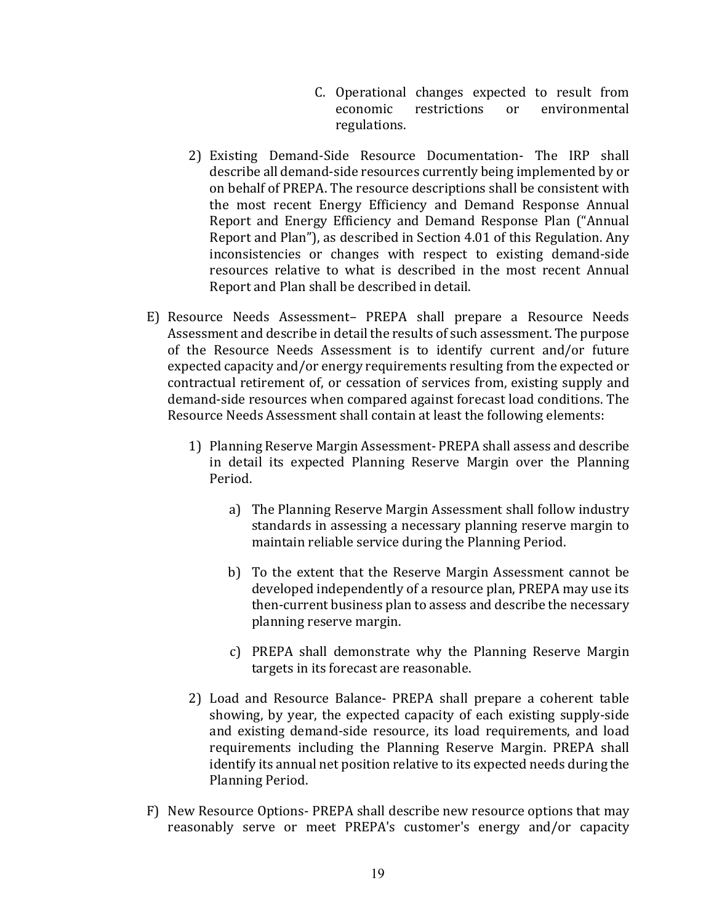- C. Operational changes expected to result from economic restrictions or environmental regulations.
- 2) Existing Demand-Side Resource Documentation- The IRP shall describe all demand-side resources currently being implemented by or on behalf of PREPA. The resource descriptions shall be consistent with the most recent Energy Efficiency and Demand Response Annual Report and Energy Efficiency and Demand Response Plan ("Annual Report and Plan"), as described in Section 4.01 of this Regulation. Any inconsistencies or changes with respect to existing demand-side resources relative to what is described in the most recent Annual Report and Plan shall be described in detail.
- E) Resource Needs Assessment- PREPA shall prepare a Resource Needs Assessment and describe in detail the results of such assessment. The purpose of the Resource Needs Assessment is to identify current and/or future expected capacity and/or energy requirements resulting from the expected or contractual retirement of, or cessation of services from, existing supply and demand-side resources when compared against forecast load conditions. The Resource Needs Assessment shall contain at least the following elements:
	- 1) Planning Reserve Margin Assessment- PREPA shall assess and describe in detail its expected Planning Reserve Margin over the Planning Period.
		- a) The Planning Reserve Margin Assessment shall follow industry standards in assessing a necessary planning reserve margin to maintain reliable service during the Planning Period.
		- b) To the extent that the Reserve Margin Assessment cannot be developed independently of a resource plan, PREPA may use its then-current business plan to assess and describe the necessary planning reserve margin.
		- c) PREPA shall demonstrate why the Planning Reserve Margin targets in its forecast are reasonable.
	- 2) Load and Resource Balance- PREPA shall prepare a coherent table showing, by year, the expected capacity of each existing supply-side and existing demand-side resource, its load requirements, and load requirements including the Planning Reserve Margin. PREPA shall identify its annual net position relative to its expected needs during the Planning Period.
- F) New Resource Options- PREPA shall describe new resource options that may reasonably serve or meet PREPA's customer's energy and/or capacity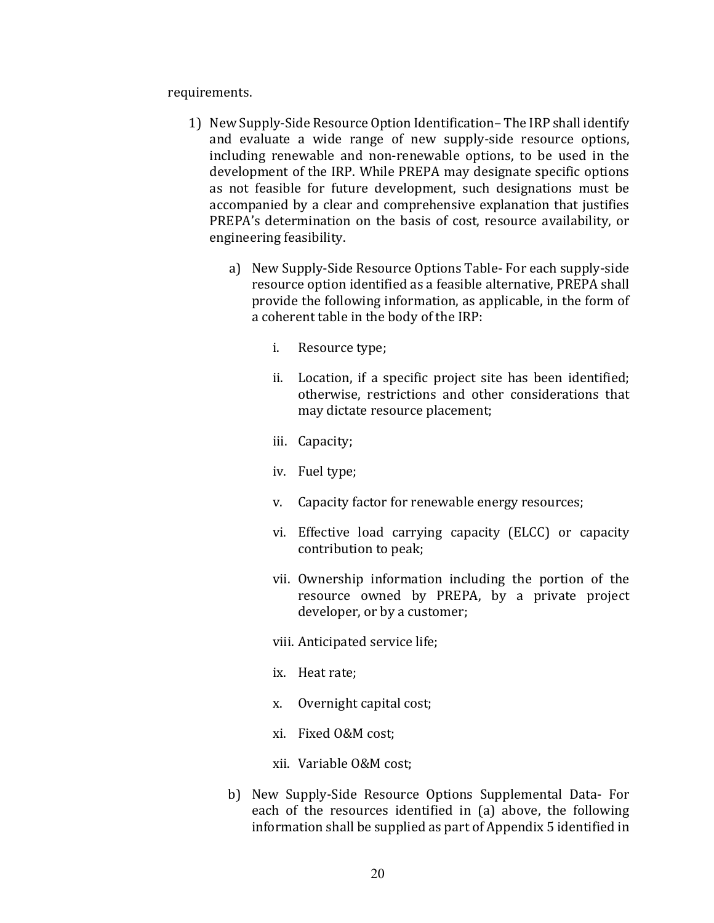requirements.

- 1) New Supply-Side Resource Option Identification– The IRP shall identify and evaluate a wide range of new supply-side resource options, including renewable and non-renewable options, to be used in the development of the IRP. While PREPA may designate specific options as not feasible for future development, such designations must be accompanied by a clear and comprehensive explanation that justifies PREPA's determination on the basis of cost, resource availability, or engineering feasibility.
	- a) New Supply-Side Resource Options Table- For each supply-side resource option identified as a feasible alternative, PREPA shall provide the following information, as applicable, in the form of a coherent table in the body of the IRP:
		- i. Resource type;
		- ii. Location, if a specific project site has been identified; otherwise, restrictions and other considerations that may dictate resource placement;
		- iii. Capacity;
		- iv. Fuel type;
		- v. Capacity factor for renewable energy resources;
		- vi. Effective load carrying capacity (ELCC) or capacity contribution to peak;
		- vii. Ownership information including the portion of the resource owned by PREPA, by a private project developer, or by a customer;
		- viii. Anticipated service life;
		- ix. Heat rate;
		- x. Overnight capital cost;
		- xi. Fixed O&M cost;
		- xii. Variable O&M cost;
	- b) New Supply-Side Resource Options Supplemental Data- For each of the resources identified in (a) above, the following information shall be supplied as part of Appendix 5 identified in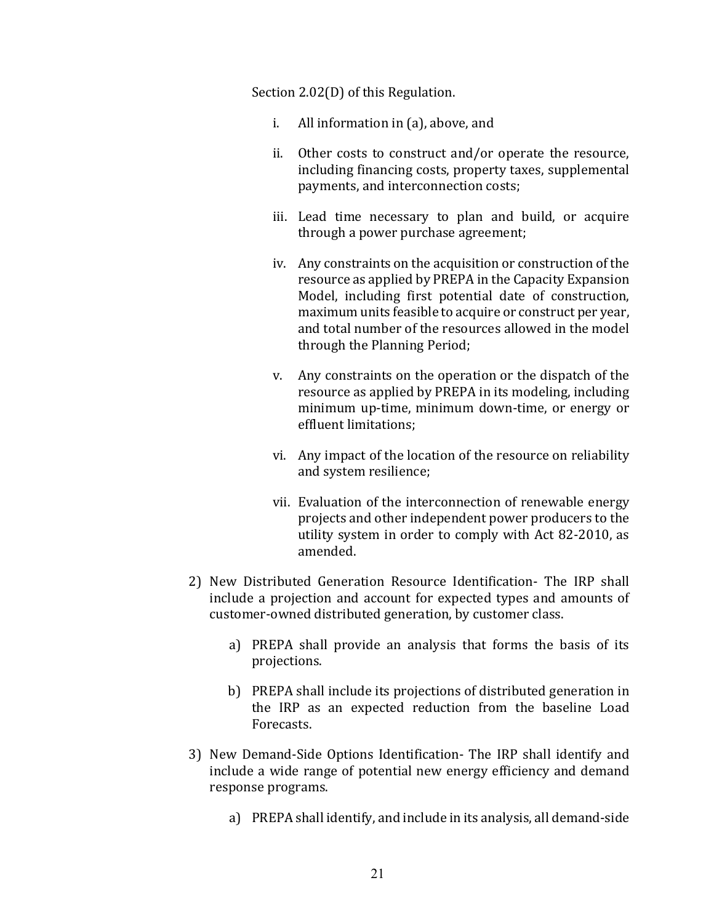Section  $2.02(D)$  of this Regulation.

- i. All information in  $(a)$ , above, and
- ii. Other costs to construct and/or operate the resource, including financing costs, property taxes, supplemental payments, and interconnection costs;
- iii. Lead time necessary to plan and build, or acquire through a power purchase agreement;
- iv. Any constraints on the acquisition or construction of the resource as applied by PREPA in the Capacity Expansion Model, including first potential date of construction, maximum units feasible to acquire or construct per year, and total number of the resources allowed in the model through the Planning Period;
- v. Any constraints on the operation or the dispatch of the resource as applied by PREPA in its modeling, including minimum up-time, minimum down-time, or energy or effluent limitations:
- vi. Any impact of the location of the resource on reliability and system resilience;
- vii. Evaluation of the interconnection of renewable energy projects and other independent power producers to the utility system in order to comply with Act 82-2010, as amended.
- 2) New Distributed Generation Resource Identification- The IRP shall include a projection and account for expected types and amounts of customer-owned distributed generation, by customer class.
	- a) PREPA shall provide an analysis that forms the basis of its projections.
	- b) PREPA shall include its projections of distributed generation in the IRP as an expected reduction from the baseline Load Forecasts.
- 3) New Demand-Side Options Identification- The IRP shall identify and include a wide range of potential new energy efficiency and demand response programs.
	- a) PREPA shall identify, and include in its analysis, all demand-side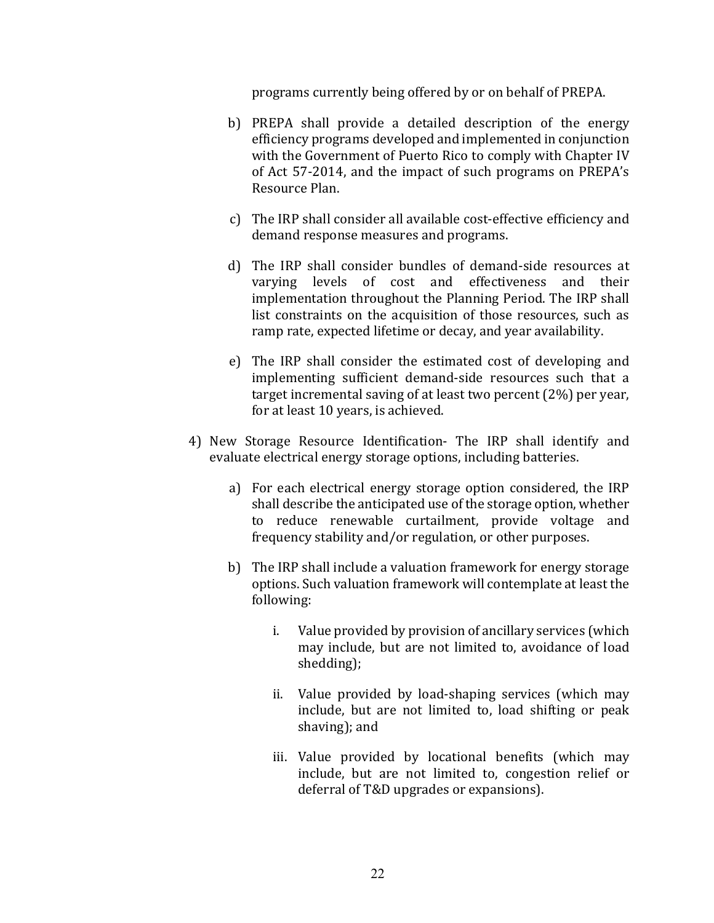programs currently being offered by or on behalf of PREPA.

- b) PREPA shall provide a detailed description of the energy efficiency programs developed and implemented in conjunction with the Government of Puerto Rico to comply with Chapter IV of Act 57-2014, and the impact of such programs on PREPA's Resource Plan.
- c) The IRP shall consider all available cost-effective efficiency and demand response measures and programs.
- d) The IRP shall consider bundles of demand-side resources at varying levels of cost and effectiveness and their implementation throughout the Planning Period. The IRP shall list constraints on the acquisition of those resources, such as ramp rate, expected lifetime or decay, and year availability.
- e) The IRP shall consider the estimated cost of developing and implementing sufficient demand-side resources such that a target incremental saving of at least two percent  $(2%)$  per year, for at least 10 years, is achieved.
- 4) New Storage Resource Identification- The IRP shall identify and evaluate electrical energy storage options, including batteries.
	- a) For each electrical energy storage option considered, the IRP shall describe the anticipated use of the storage option, whether to reduce renewable curtailment, provide voltage and frequency stability and/or regulation, or other purposes.
	- b) The IRP shall include a valuation framework for energy storage options. Such valuation framework will contemplate at least the following:
		- i. Value provided by provision of ancillary services (which may include, but are not limited to, avoidance of load shedding);
		- ii. Value provided by load-shaping services (which may include, but are not limited to, load shifting or peak shaving); and
		- iii. Value provided by locational benefits (which may include, but are not limited to, congestion relief or deferral of T&D upgrades or expansions).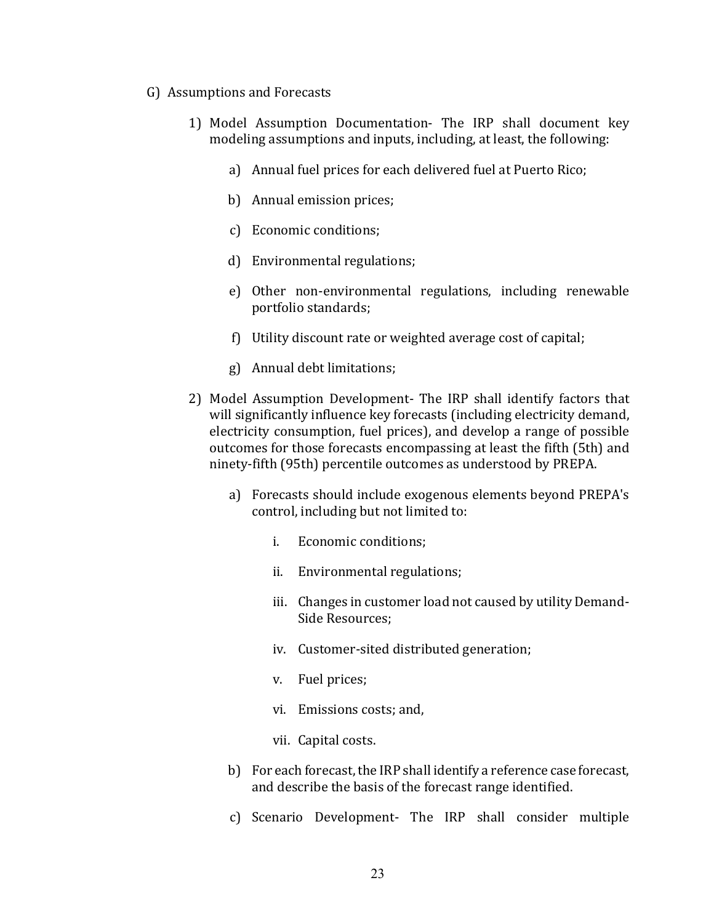- G) Assumptions and Forecasts
	- 1) Model Assumption Documentation- The IRP shall document key modeling assumptions and inputs, including, at least, the following:
		- a) Annual fuel prices for each delivered fuel at Puerto Rico;
		- b) Annual emission prices;
		- c) Economic conditions;
		- d) Environmental regulations;
		- e) Other non-environmental regulations, including renewable portfolio standards;
		- f) Utility discount rate or weighted average cost of capital;
		- g) Annual debt limitations;
	- 2) Model Assumption Development- The IRP shall identify factors that will significantly influence key forecasts (including electricity demand, electricity consumption, fuel prices), and develop a range of possible outcomes for those forecasts encompassing at least the fifth (5th) and ninety-fifth (95th) percentile outcomes as understood by PREPA.
		- a) Forecasts should include exogenous elements beyond PREPA's control, including but not limited to:
			- i. Economic conditions;
			- ii. Environmental regulations;
			- iii. Changes in customer load not caused by utility Demand-Side Resources:
			- iv. Customer-sited distributed generation;
			- v. Fuel prices;
			- vi. Emissions costs; and,
			- vii. Capital costs.
		- b) For each forecast, the IRP shall identify a reference case forecast, and describe the basis of the forecast range identified.
		- c) Scenario Development- The IRP shall consider multiple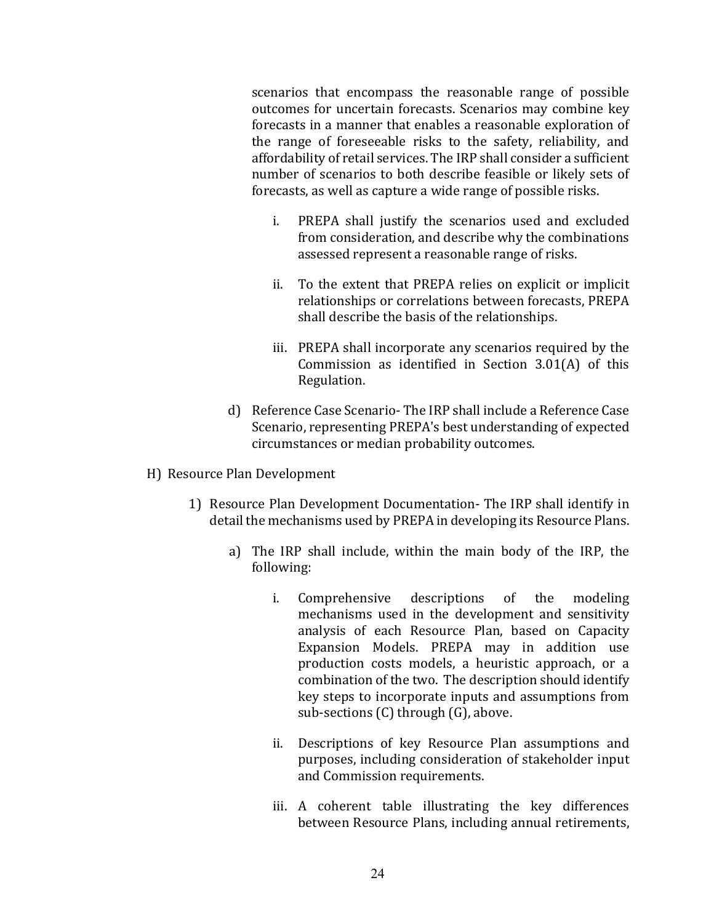scenarios that encompass the reasonable range of possible outcomes for uncertain forecasts. Scenarios may combine key forecasts in a manner that enables a reasonable exploration of the range of foreseeable risks to the safety, reliability, and affordability of retail services. The IRP shall consider a sufficient number of scenarios to both describe feasible or likely sets of forecasts, as well as capture a wide range of possible risks.

- i. PREPA shall justify the scenarios used and excluded from consideration, and describe why the combinations assessed represent a reasonable range of risks.
- ii. To the extent that PREPA relies on explicit or implicit relationships or correlations between forecasts, PREPA shall describe the basis of the relationships.
- iii. PREPA shall incorporate any scenarios required by the Commission as identified in Section  $3.01(A)$  of this Regulation.
- d) Reference Case Scenario- The IRP shall include a Reference Case Scenario, representing PREPA's best understanding of expected circumstances or median probability outcomes.
- H) Resource Plan Development
	- 1) Resource Plan Development Documentation- The IRP shall identify in detail the mechanisms used by PREPA in developing its Resource Plans.
		- a) The IRP shall include, within the main body of the IRP, the following:
			- i. Comprehensive descriptions of the modeling mechanisms used in the development and sensitivity analysis of each Resource Plan, based on Capacity Expansion Models. PREPA may in addition use production costs models, a heuristic approach, or a combination of the two. The description should identify key steps to incorporate inputs and assumptions from sub-sections  $(C)$  through  $(G)$ , above.
			- ii. Descriptions of key Resource Plan assumptions and purposes, including consideration of stakeholder input and Commission requirements.
			- iii. A coherent table illustrating the key differences between Resource Plans, including annual retirements,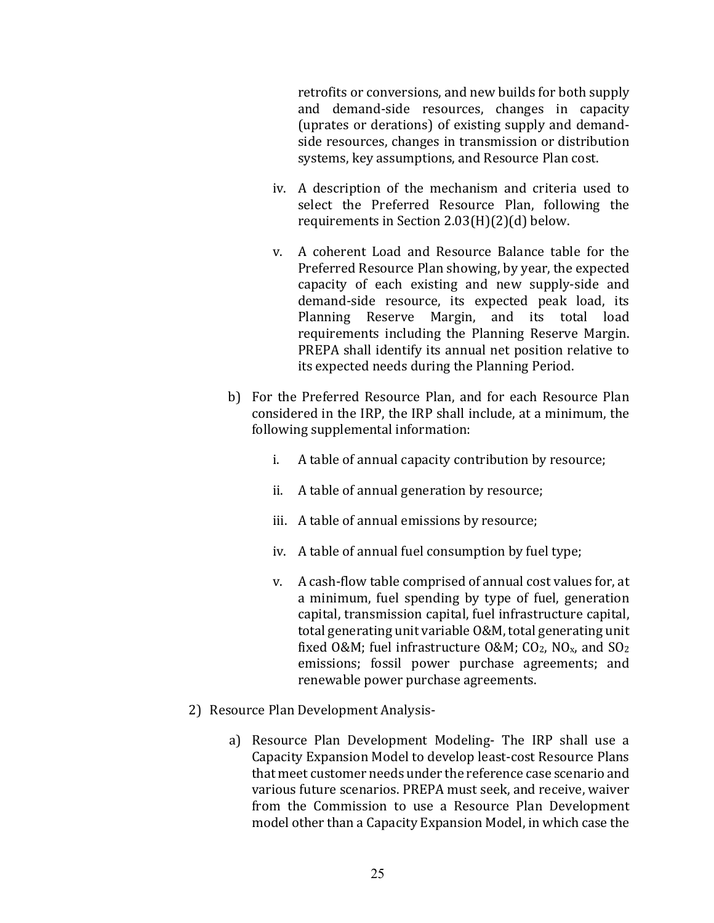retrofits or conversions, and new builds for both supply and demand-side resources, changes in capacity (uprates or derations) of existing supply and demandside resources, changes in transmission or distribution systems, key assumptions, and Resource Plan cost.

- iv. A description of the mechanism and criteria used to select the Preferred Resource Plan, following the requirements in Section  $2.03(H)(2)(d)$  below.
- v. A coherent Load and Resource Balance table for the Preferred Resource Plan showing, by year, the expected capacity of each existing and new supply-side and demand-side resource, its expected peak load, its Planning Reserve Margin, and its total load requirements including the Planning Reserve Margin. PREPA shall identify its annual net position relative to its expected needs during the Planning Period.
- b) For the Preferred Resource Plan, and for each Resource Plan considered in the IRP, the IRP shall include, at a minimum, the following supplemental information:
	- i. A table of annual capacity contribution by resource;
	- ii. A table of annual generation by resource;
	- iii. A table of annual emissions by resource;
	- iv. A table of annual fuel consumption by fuel type;
	- v. A cash-flow table comprised of annual cost values for, at a minimum, fuel spending by type of fuel, generation capital, transmission capital, fuel infrastructure capital, total generating unit variable O&M, total generating unit fixed O&M; fuel infrastructure O&M;  $CO_2$ , NO<sub>x</sub>, and  $SO_2$ emissions; fossil power purchase agreements; and renewable power purchase agreements.
- 2) Resource Plan Development Analysis
	- a) Resource Plan Development Modeling- The IRP shall use a Capacity Expansion Model to develop least-cost Resource Plans that meet customer needs under the reference case scenario and various future scenarios. PREPA must seek, and receive, waiver from the Commission to use a Resource Plan Development model other than a Capacity Expansion Model, in which case the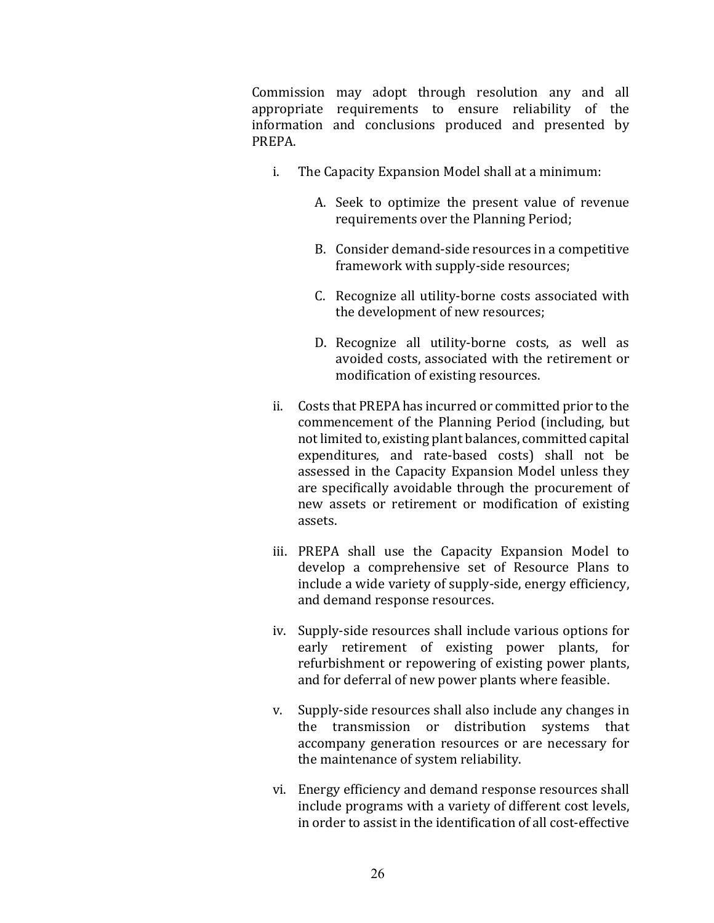Commission may adopt through resolution any and all appropriate requirements to ensure reliability of the information and conclusions produced and presented by PREPA. 

- i. The Capacity Expansion Model shall at a minimum:
	- A. Seek to optimize the present value of revenue requirements over the Planning Period;
	- B. Consider demand-side resources in a competitive framework with supply-side resources;
	- C. Recognize all utility-borne costs associated with the development of new resources;
	- D. Recognize all utility-borne costs, as well as avoided costs, associated with the retirement or modification of existing resources.
- ii. Costs that PREPA has incurred or committed prior to the commencement of the Planning Period (including, but not limited to, existing plant balances, committed capital expenditures, and rate-based costs) shall not be assessed in the Capacity Expansion Model unless they are specifically avoidable through the procurement of new assets or retirement or modification of existing assets.
- iii. PREPA shall use the Capacity Expansion Model to develop a comprehensive set of Resource Plans to include a wide variety of supply-side, energy efficiency, and demand response resources.
- iv. Supply-side resources shall include various options for early retirement of existing power plants, for refurbishment or repowering of existing power plants, and for deferral of new power plants where feasible.
- v. Supply-side resources shall also include any changes in the transmission or distribution systems that accompany generation resources or are necessary for the maintenance of system reliability.
- vi. Energy efficiency and demand response resources shall include programs with a variety of different cost levels, in order to assist in the identification of all cost-effective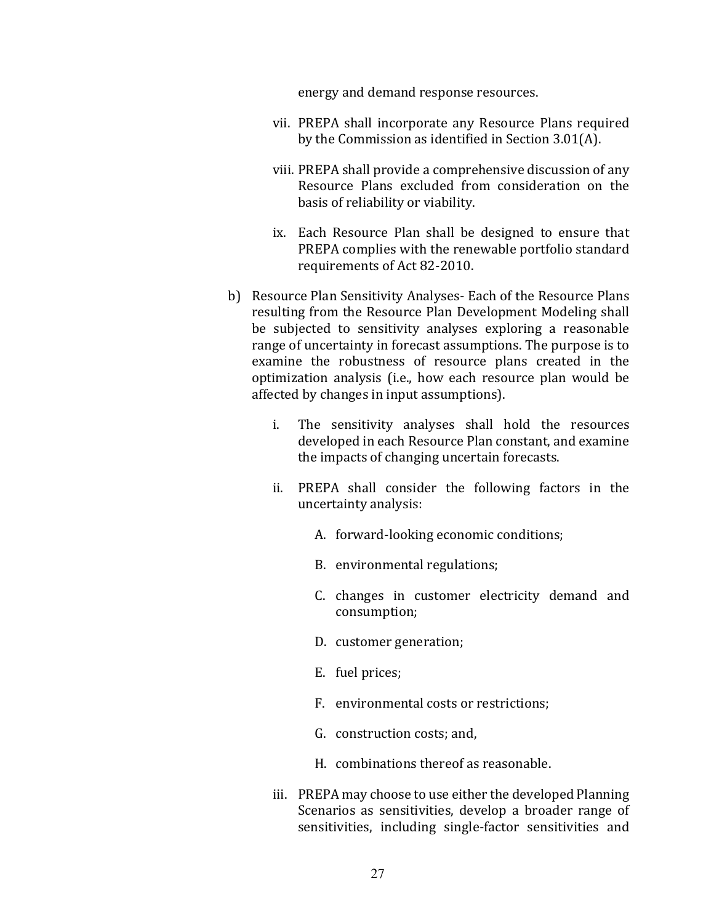energy and demand response resources.

- vii. PREPA shall incorporate any Resource Plans required by the Commission as identified in Section  $3.01(A)$ .
- viii. PREPA shall provide a comprehensive discussion of any Resource Plans excluded from consideration on the basis of reliability or viability.
- ix. Each Resource Plan shall be designed to ensure that PREPA complies with the renewable portfolio standard requirements of Act 82-2010.
- b) Resource Plan Sensitivity Analyses- Each of the Resource Plans resulting from the Resource Plan Development Modeling shall be subjected to sensitivity analyses exploring a reasonable range of uncertainty in forecast assumptions. The purpose is to examine the robustness of resource plans created in the optimization analysis (i.e., how each resource plan would be affected by changes in input assumptions).
	- i. The sensitivity analyses shall hold the resources developed in each Resource Plan constant, and examine the impacts of changing uncertain forecasts.
	- ii. PREPA shall consider the following factors in the uncertainty analysis:
		- A. forward-looking economic conditions;
		- B. environmental regulations;
		- C. changes in customer electricity demand and consumption;
		- D. customer generation;
		- E. fuel prices;
		- F. environmental costs or restrictions;
		- G. construction costs; and,
		- H. combinations thereof as reasonable.
	- iii. PREPA may choose to use either the developed Planning Scenarios as sensitivities, develop a broader range of sensitivities, including single-factor sensitivities and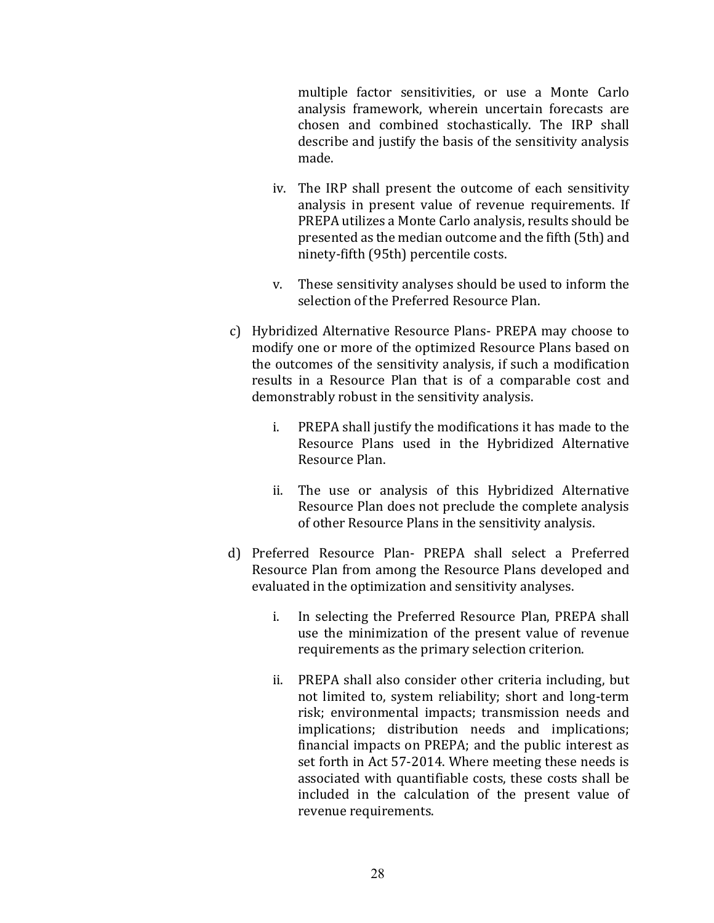multiple factor sensitivities, or use a Monte Carlo analysis framework, wherein uncertain forecasts are chosen and combined stochastically. The IRP shall describe and justify the basis of the sensitivity analysis made.

- iv. The IRP shall present the outcome of each sensitivity analysis in present value of revenue requirements. If PREPA utilizes a Monte Carlo analysis, results should be presented as the median outcome and the fifth (5th) and ninety-fifth (95th) percentile costs.
- v. These sensitivity analyses should be used to inform the selection of the Preferred Resource Plan.
- c) Hybridized Alternative Resource Plans- PREPA may choose to modify one or more of the optimized Resource Plans based on the outcomes of the sensitivity analysis, if such a modification results in a Resource Plan that is of a comparable cost and demonstrably robust in the sensitivity analysis.
	- i. PREPA shall justify the modifications it has made to the Resource Plans used in the Hybridized Alternative Resource Plan.
	- ii. The use or analysis of this Hybridized Alternative Resource Plan does not preclude the complete analysis of other Resource Plans in the sensitivity analysis.
- d) Preferred Resource Plan- PREPA shall select a Preferred Resource Plan from among the Resource Plans developed and evaluated in the optimization and sensitivity analyses.
	- i. In selecting the Preferred Resource Plan, PREPA shall use the minimization of the present value of revenue requirements as the primary selection criterion.
	- ii. PREPA shall also consider other criteria including, but not limited to, system reliability; short and long-term risk; environmental impacts; transmission needs and implications; distribution needs and implications; financial impacts on PREPA; and the public interest as set forth in Act 57-2014. Where meeting these needs is associated with quantifiable costs, these costs shall be included in the calculation of the present value of revenue requirements.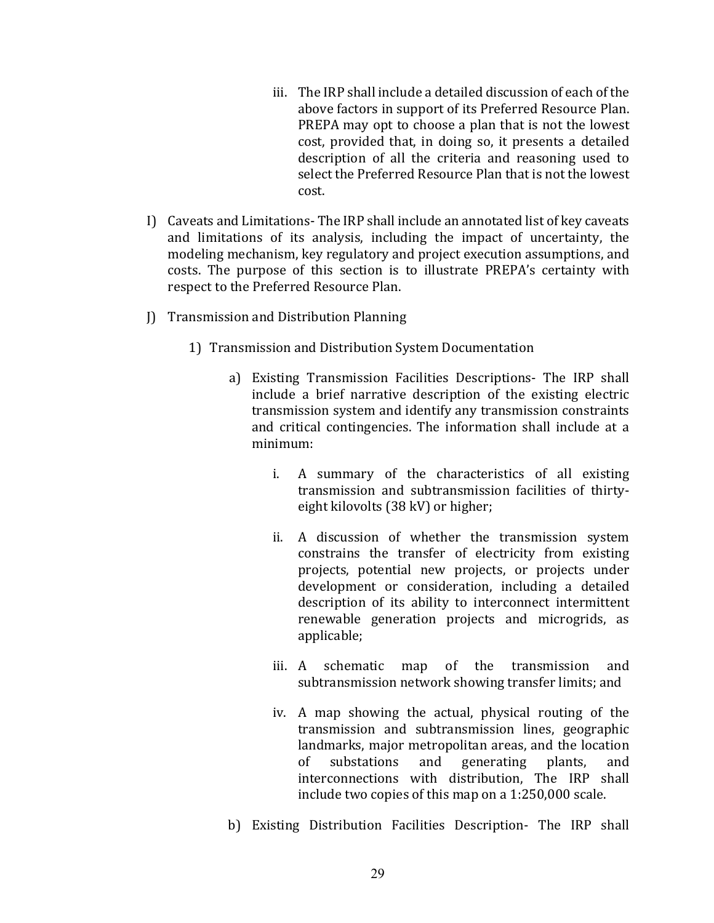- iii. The IRP shall include a detailed discussion of each of the above factors in support of its Preferred Resource Plan. PREPA may opt to choose a plan that is not the lowest cost, provided that, in doing so, it presents a detailed description of all the criteria and reasoning used to select the Preferred Resource Plan that is not the lowest cost.
- I) Caveats and Limitations- The IRP shall include an annotated list of key caveats and limitations of its analysis, including the impact of uncertainty, the modeling mechanism, key regulatory and project execution assumptions, and costs. The purpose of this section is to illustrate PREPA's certainty with respect to the Preferred Resource Plan.
- J) Transmission and Distribution Planning
	- 1) Transmission and Distribution System Documentation
		- a) Existing Transmission Facilities Descriptions- The IRP shall include a brief narrative description of the existing electric transmission system and identify any transmission constraints and critical contingencies. The information shall include at a minimum:
			- i. A summary of the characteristics of all existing transmission and subtransmission facilities of thirtyeight kilovolts (38 kV) or higher;
			- ii. A discussion of whether the transmission system constrains the transfer of electricity from existing projects, potential new projects, or projects under development or consideration, including a detailed description of its ability to interconnect intermittent renewable generation projects and microgrids, as applicable;
			- iii. A schematic map of the transmission and subtransmission network showing transfer limits; and
			- iv. A map showing the actual, physical routing of the transmission and subtransmission lines, geographic landmarks, major metropolitan areas, and the location of substations and generating plants, and interconnections with distribution, The IRP shall include two copies of this map on a  $1:250,000$  scale.
		- b) Existing Distribution Facilities Description- The IRP shall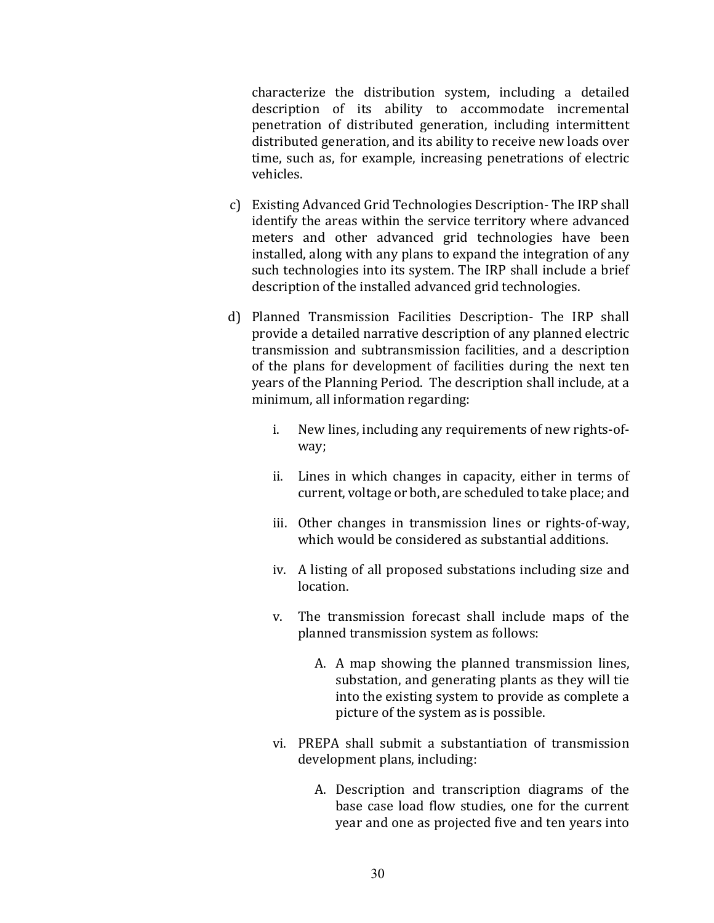characterize the distribution system, including a detailed description of its ability to accommodate incremental penetration of distributed generation, including intermittent distributed generation, and its ability to receive new loads over time, such as, for example, increasing penetrations of electric vehicles.

- c) Existing Advanced Grid Technologies Description- The IRP shall identify the areas within the service territory where advanced meters and other advanced grid technologies have been installed, along with any plans to expand the integration of any such technologies into its system. The IRP shall include a brief description of the installed advanced grid technologies.
- d) Planned Transmission Facilities Description- The IRP shall provide a detailed narrative description of any planned electric transmission and subtransmission facilities, and a description of the plans for development of facilities during the next ten years of the Planning Period. The description shall include, at a minimum, all information regarding:
	- i. New lines, including any requirements of new rights-ofway;
	- ii. Lines in which changes in capacity, either in terms of current, voltage or both, are scheduled to take place; and
	- iii. Other changes in transmission lines or rights-of-way, which would be considered as substantial additions.
	- iv. A listing of all proposed substations including size and **location**
	- v. The transmission forecast shall include maps of the planned transmission system as follows:
		- A. A map showing the planned transmission lines, substation, and generating plants as they will tie into the existing system to provide as complete a picture of the system as is possible.
	- vi. PREPA shall submit a substantiation of transmission development plans, including:
		- A. Description and transcription diagrams of the base case load flow studies, one for the current year and one as projected five and ten years into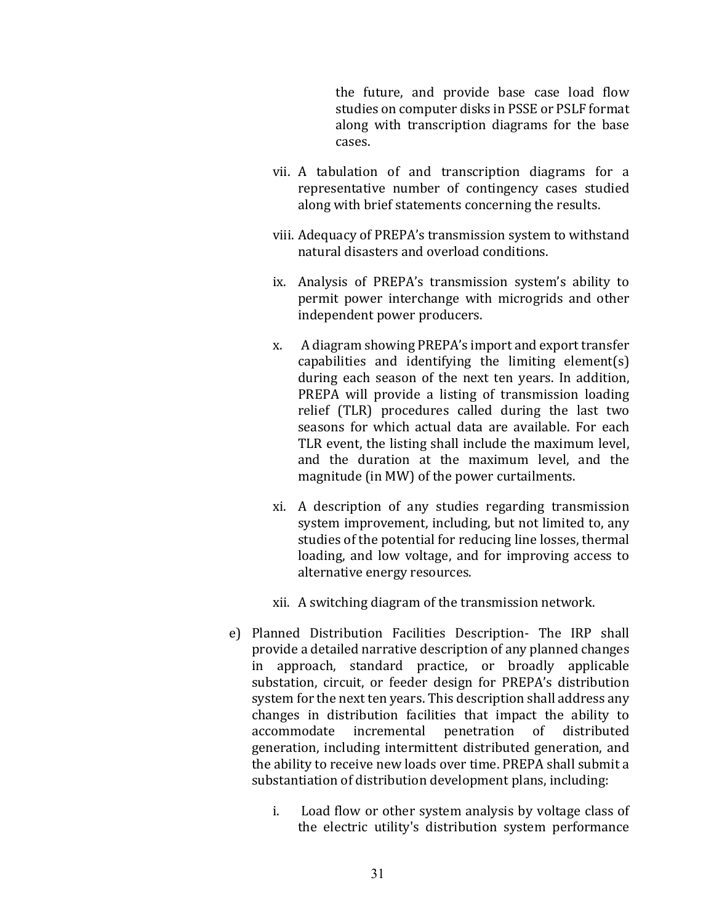the future, and provide base case load flow studies on computer disks in PSSE or PSLF format along with transcription diagrams for the base cases. 

- vii. A tabulation of and transcription diagrams for a representative number of contingency cases studied along with brief statements concerning the results.
- viii. Adequacy of PREPA's transmission system to withstand natural disasters and overload conditions.
- ix. Analysis of PREPA's transmission system's ability to permit power interchange with microgrids and other independent power producers.
- x. A diagram showing PREPA's import and export transfer capabilities and identifying the limiting element(s) during each season of the next ten years. In addition, PREPA will provide a listing of transmission loading relief (TLR) procedures called during the last two seasons for which actual data are available. For each TLR event, the listing shall include the maximum level, and the duration at the maximum level, and the magnitude (in MW) of the power curtailments.
- xi. A description of any studies regarding transmission system improvement, including, but not limited to, any studies of the potential for reducing line losses, thermal loading, and low voltage, and for improving access to alternative energy resources.
- xii. A switching diagram of the transmission network.
- e) Planned Distribution Facilities Description- The IRP shall provide a detailed narrative description of any planned changes in approach, standard practice, or broadly applicable substation, circuit, or feeder design for PREPA's distribution system for the next ten years. This description shall address any changes in distribution facilities that impact the ability to accommodate incremental penetration of distributed generation, including intermittent distributed generation, and the ability to receive new loads over time. PREPA shall submit a substantiation of distribution development plans, including:
	- i. Load flow or other system analysis by voltage class of the electric utility's distribution system performance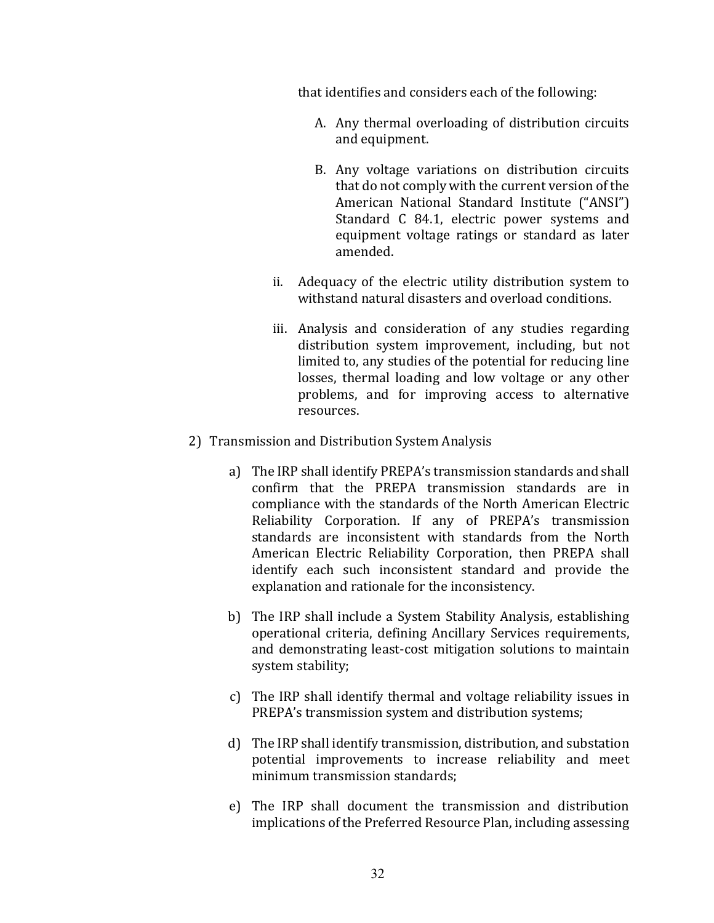that identifies and considers each of the following:

- A. Any thermal overloading of distribution circuits and equipment.
- B. Any voltage variations on distribution circuits that do not comply with the current version of the American National Standard Institute ("ANSI") Standard C 84.1, electric power systems and equipment voltage ratings or standard as later amended.
- ii. Adequacy of the electric utility distribution system to withstand natural disasters and overload conditions.
- iii. Analysis and consideration of any studies regarding distribution system improvement, including, but not limited to, any studies of the potential for reducing line losses, thermal loading and low voltage or any other problems, and for improving access to alternative resources.
- 2) Transmission and Distribution System Analysis
	- a) The IRP shall identify PREPA's transmission standards and shall confirm that the PREPA transmission standards are in compliance with the standards of the North American Electric Reliability Corporation. If any of PREPA's transmission standards are inconsistent with standards from the North American Electric Reliability Corporation, then PREPA shall identify each such inconsistent standard and provide the explanation and rationale for the inconsistency.
	- b) The IRP shall include a System Stability Analysis, establishing operational criteria, defining Ancillary Services requirements, and demonstrating least-cost mitigation solutions to maintain system stability;
	- c) The IRP shall identify thermal and voltage reliability issues in PREPA's transmission system and distribution systems;
	- d) The IRP shall identify transmission, distribution, and substation potential improvements to increase reliability and meet minimum transmission standards:
	- e) The IRP shall document the transmission and distribution implications of the Preferred Resource Plan, including assessing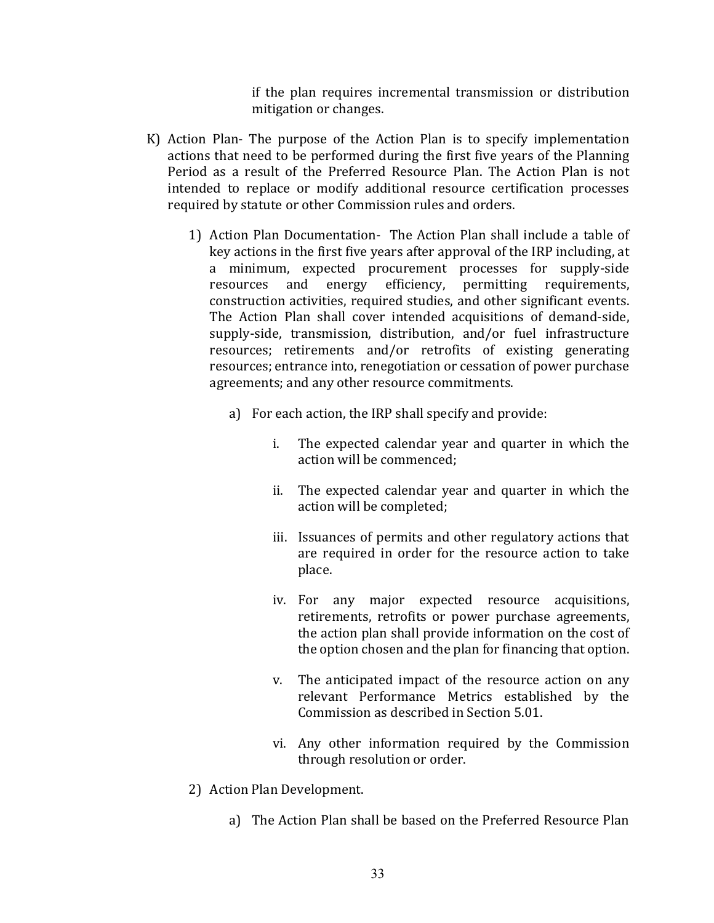if the plan requires incremental transmission or distribution mitigation or changes.

- K) Action Plan- The purpose of the Action Plan is to specify implementation actions that need to be performed during the first five years of the Planning Period as a result of the Preferred Resource Plan. The Action Plan is not intended to replace or modify additional resource certification processes required by statute or other Commission rules and orders.
	- 1) Action Plan Documentation- The Action Plan shall include a table of key actions in the first five years after approval of the IRP including, at a minimum, expected procurement processes for supply-side resources and energy efficiency, permitting requirements, construction activities, required studies, and other significant events. The Action Plan shall cover intended acquisitions of demand-side, supply-side, transmission, distribution, and/or fuel infrastructure resources; retirements and/or retrofits of existing generating resources; entrance into, renegotiation or cessation of power purchase agreements; and any other resource commitments.
		- a) For each action, the IRP shall specify and provide:
			- i. The expected calendar year and quarter in which the action will be commenced;
			- ii. The expected calendar year and quarter in which the action will be completed;
			- iii. Issuances of permits and other regulatory actions that are required in order for the resource action to take place.
			- iv. For any major expected resource acquisitions, retirements, retrofits or power purchase agreements, the action plan shall provide information on the cost of the option chosen and the plan for financing that option.
			- v. The anticipated impact of the resource action on any relevant Performance Metrics established by the Commission as described in Section 5.01.
			- vi. Any other information required by the Commission through resolution or order.
	- 2) Action Plan Development.
		- a) The Action Plan shall be based on the Preferred Resource Plan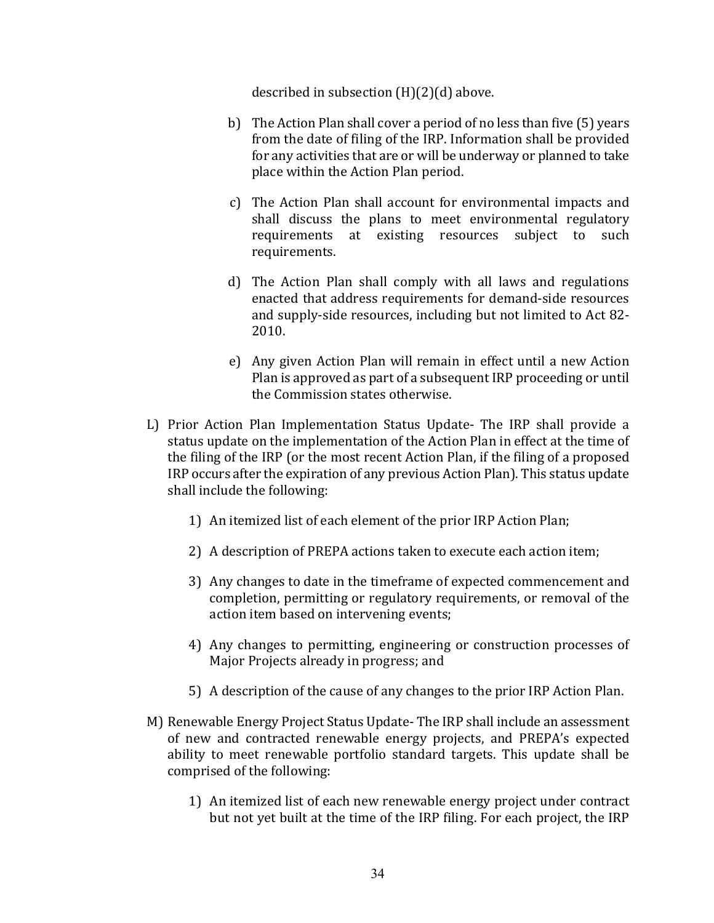described in subsection  $(H)(2)(d)$  above.

- b) The Action Plan shall cover a period of no less than five (5) years from the date of filing of the IRP. Information shall be provided for any activities that are or will be underway or planned to take place within the Action Plan period.
- c) The Action Plan shall account for environmental impacts and shall discuss the plans to meet environmental regulatory requirements at existing resources subject to such requirements.
- d) The Action Plan shall comply with all laws and regulations enacted that address requirements for demand-side resources and supply-side resources, including but not limited to Act 82-2010.
- e) Any given Action Plan will remain in effect until a new Action Plan is approved as part of a subsequent IRP proceeding or until the Commission states otherwise.
- L) Prior Action Plan Implementation Status Update- The IRP shall provide a status update on the implementation of the Action Plan in effect at the time of the filing of the IRP (or the most recent Action Plan, if the filing of a proposed IRP occurs after the expiration of any previous Action Plan). This status update shall include the following:
	- 1) An itemized list of each element of the prior IRP Action Plan;
	- 2) A description of PREPA actions taken to execute each action item;
	- 3) Any changes to date in the timeframe of expected commencement and completion, permitting or regulatory requirements, or removal of the action item based on intervening events;
	- 4) Any changes to permitting, engineering or construction processes of Major Projects already in progress; and
	- 5) A description of the cause of any changes to the prior IRP Action Plan.
- M) Renewable Energy Project Status Update- The IRP shall include an assessment of new and contracted renewable energy projects, and PREPA's expected ability to meet renewable portfolio standard targets. This update shall be comprised of the following:
	- 1) An itemized list of each new renewable energy project under contract but not yet built at the time of the IRP filing. For each project, the IRP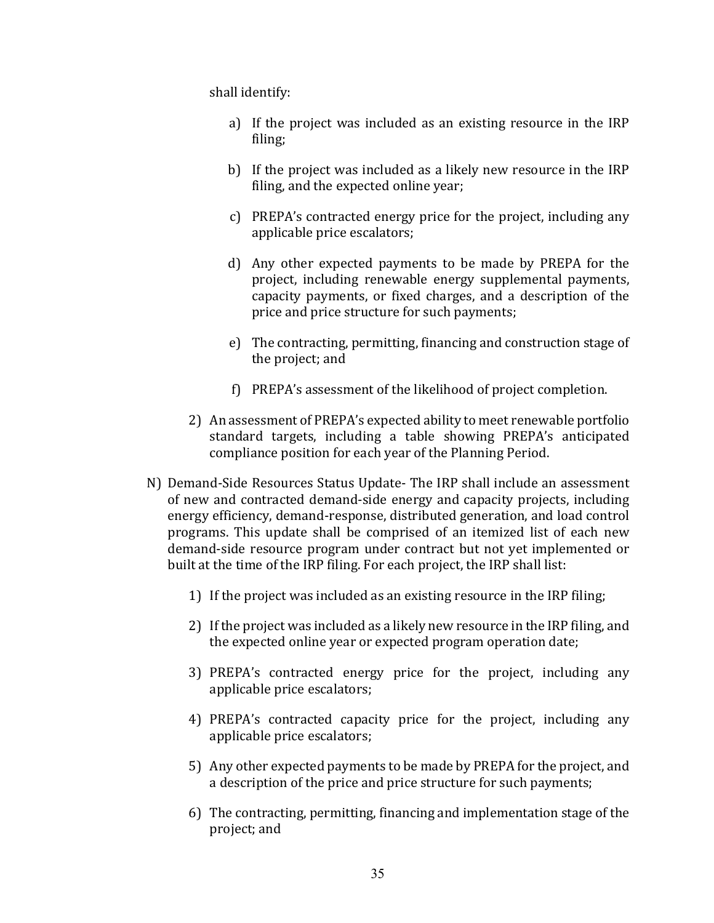shall identify:

- a) If the project was included as an existing resource in the IRP filing;
- b) If the project was included as a likely new resource in the IRP filing, and the expected online year;
- c) PREPA's contracted energy price for the project, including any applicable price escalators;
- d) Any other expected payments to be made by PREPA for the project, including renewable energy supplemental payments, capacity payments, or fixed charges, and a description of the price and price structure for such payments;
- e) The contracting, permitting, financing and construction stage of the project; and
- f) PREPA's assessment of the likelihood of project completion.
- 2) An assessment of PREPA's expected ability to meet renewable portfolio standard targets, including a table showing PREPA's anticipated compliance position for each year of the Planning Period.
- N) Demand-Side Resources Status Update- The IRP shall include an assessment of new and contracted demand-side energy and capacity projects, including energy efficiency, demand-response, distributed generation, and load control programs. This update shall be comprised of an itemized list of each new demand-side resource program under contract but not yet implemented or built at the time of the IRP filing. For each project, the IRP shall list:
	- 1) If the project was included as an existing resource in the IRP filing;
	- 2) If the project was included as a likely new resource in the IRP filing, and the expected online year or expected program operation date;
	- 3) PREPA's contracted energy price for the project, including any applicable price escalators;
	- 4) PREPA's contracted capacity price for the project, including any applicable price escalators;
	- 5) Any other expected payments to be made by PREPA for the project, and a description of the price and price structure for such payments;
	- 6) The contracting, permitting, financing and implementation stage of the project; and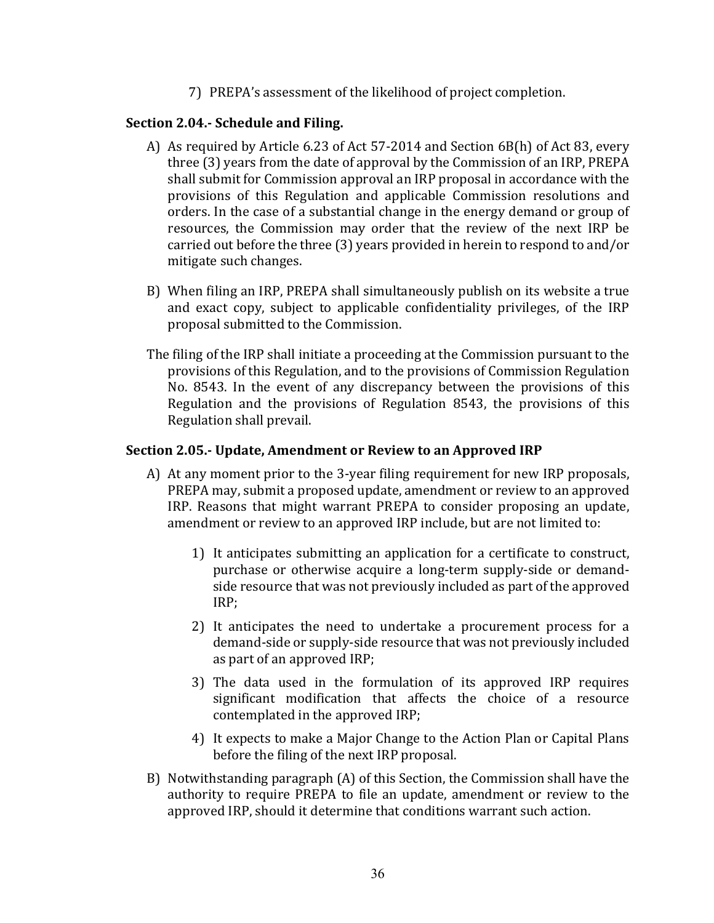7) PREPA's assessment of the likelihood of project completion.

### **Section 2.04.- Schedule and Filing.**

- A) As required by Article 6.23 of Act 57-2014 and Section 6B(h) of Act 83, every three (3) years from the date of approval by the Commission of an IRP, PREPA shall submit for Commission approval an IRP proposal in accordance with the provisions of this Regulation and applicable Commission resolutions and orders. In the case of a substantial change in the energy demand or group of resources, the Commission may order that the review of the next IRP be carried out before the three  $(3)$  years provided in herein to respond to and/or mitigate such changes.
- B) When filing an IRP, PREPA shall simultaneously publish on its website a true and exact copy, subject to applicable confidentiality privileges, of the IRP proposal submitted to the Commission.
- The filing of the IRP shall initiate a proceeding at the Commission pursuant to the provisions of this Regulation, and to the provisions of Commission Regulation No. 8543. In the event of any discrepancy between the provisions of this Regulation and the provisions of Regulation 8543, the provisions of this Regulation shall prevail.

### **Section 2.05.- Update, Amendment or Review to an Approved IRP**

- A) At any moment prior to the 3-year filing requirement for new IRP proposals, PREPA may, submit a proposed update, amendment or review to an approved IRP. Reasons that might warrant PREPA to consider proposing an update, amendment or review to an approved IRP include, but are not limited to:
	- 1) It anticipates submitting an application for a certificate to construct, purchase or otherwise acquire a long-term supply-side or demandside resource that was not previously included as part of the approved IRP;
	- 2) It anticipates the need to undertake a procurement process for a demand-side or supply-side resource that was not previously included as part of an approved IRP;
	- 3) The data used in the formulation of its approved IRP requires significant modification that affects the choice of a resource contemplated in the approved IRP;
	- 4) It expects to make a Major Change to the Action Plan or Capital Plans before the filing of the next IRP proposal.
- B) Notwithstanding paragraph  $(A)$  of this Section, the Commission shall have the authority to require PREPA to file an update, amendment or review to the approved IRP, should it determine that conditions warrant such action.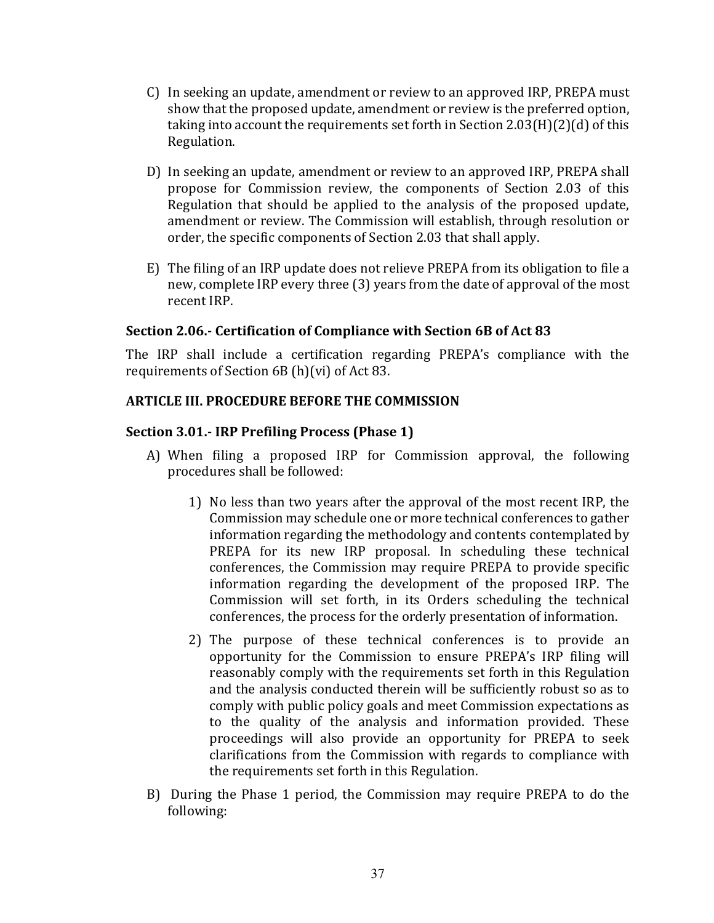- C) In seeking an update, amendment or review to an approved IRP, PREPA must show that the proposed update, amendment or review is the preferred option, taking into account the requirements set forth in Section  $2.03(H)(2)(d)$  of this Regulation.
- D) In seeking an update, amendment or review to an approved IRP, PREPA shall propose for Commission review, the components of Section 2.03 of this Regulation that should be applied to the analysis of the proposed update, amendment or review. The Commission will establish, through resolution or order, the specific components of Section 2.03 that shall apply.
- E) The filing of an IRP update does not relieve PREPA from its obligation to file a new, complete IRP every three (3) years from the date of approval of the most recent IRP.

# Section 2.06.- Certification of Compliance with Section 6B of Act 83

The IRP shall include a certification regarding PREPA's compliance with the requirements of Section  $6B(h)(vi)$  of Act 83.

### **ARTICLE III. PROCEDURE BEFORE THE COMMISSION**

### **Section 3.01.- IRP Prefiling Process (Phase 1)**

- A) When filing a proposed IRP for Commission approval, the following procedures shall be followed:
	- 1) No less than two years after the approval of the most recent IRP, the Commission may schedule one or more technical conferences to gather information regarding the methodology and contents contemplated by PREPA for its new IRP proposal. In scheduling these technical conferences, the Commission may require PREPA to provide specific information regarding the development of the proposed IRP. The Commission will set forth, in its Orders scheduling the technical conferences, the process for the orderly presentation of information.
	- 2) The purpose of these technical conferences is to provide an opportunity for the Commission to ensure PREPA's IRP filing will reasonably comply with the requirements set forth in this Regulation and the analysis conducted therein will be sufficiently robust so as to comply with public policy goals and meet Commission expectations as to the quality of the analysis and information provided. These proceedings will also provide an opportunity for PREPA to seek clarifications from the Commission with regards to compliance with the requirements set forth in this Regulation.
- B) During the Phase 1 period, the Commission may require PREPA to do the following: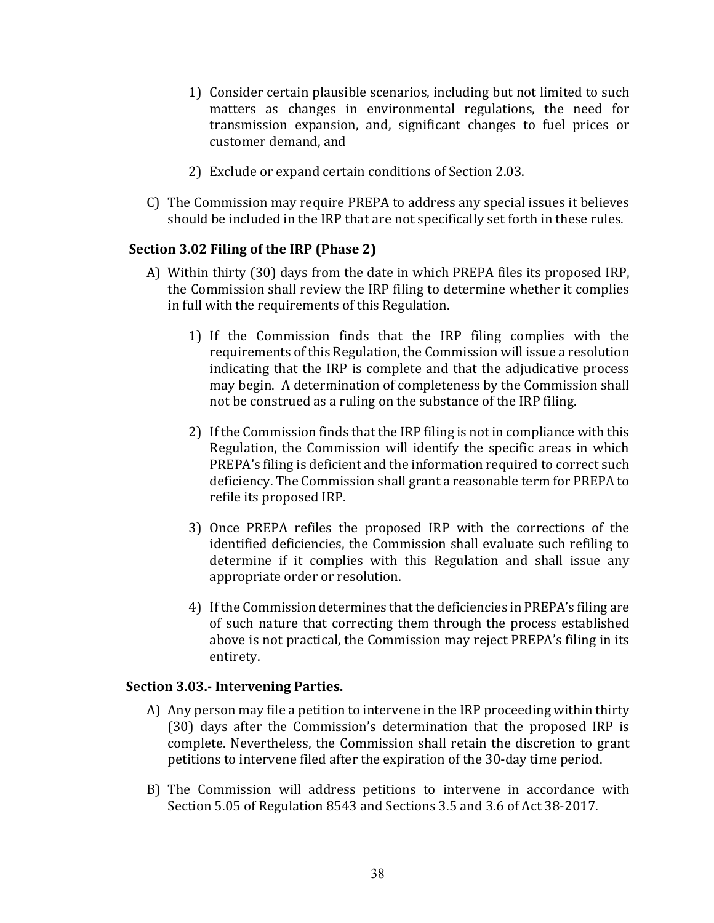- 1) Consider certain plausible scenarios, including but not limited to such matters as changes in environmental regulations, the need for transmission expansion, and, significant changes to fuel prices or customer demand, and
- 2) Exclude or expand certain conditions of Section 2.03.
- C) The Commission may require PREPA to address any special issues it believes should be included in the IRP that are not specifically set forth in these rules.

### **Section 3.02 Filing of the IRP (Phase 2)**

- A) Within thirty (30) days from the date in which PREPA files its proposed IRP, the Commission shall review the IRP filing to determine whether it complies in full with the requirements of this Regulation.
	- 1) If the Commission finds that the IRP filing complies with the requirements of this Regulation, the Commission will issue a resolution indicating that the IRP is complete and that the adjudicative process may begin. A determination of completeness by the Commission shall not be construed as a ruling on the substance of the IRP filing.
	- 2) If the Commission finds that the IRP filing is not in compliance with this Regulation, the Commission will identify the specific areas in which PREPA's filing is deficient and the information required to correct such deficiency. The Commission shall grant a reasonable term for PREPA to refile its proposed IRP.
	- 3) Once PREPA refiles the proposed IRP with the corrections of the identified deficiencies, the Commission shall evaluate such refiling to determine if it complies with this Regulation and shall issue any appropriate order or resolution.
	- 4) If the Commission determines that the deficiencies in PREPA's filing are of such nature that correcting them through the process established above is not practical, the Commission may reject PREPA's filing in its entirety.

#### **Section 3.03.- Intervening Parties.**

- A) Any person may file a petition to intervene in the IRP proceeding within thirty (30) days after the Commission's determination that the proposed IRP is complete. Nevertheless, the Commission shall retain the discretion to grant petitions to intervene filed after the expiration of the 30-day time period.
- B) The Commission will address petitions to intervene in accordance with Section 5.05 of Regulation 8543 and Sections 3.5 and 3.6 of Act 38-2017.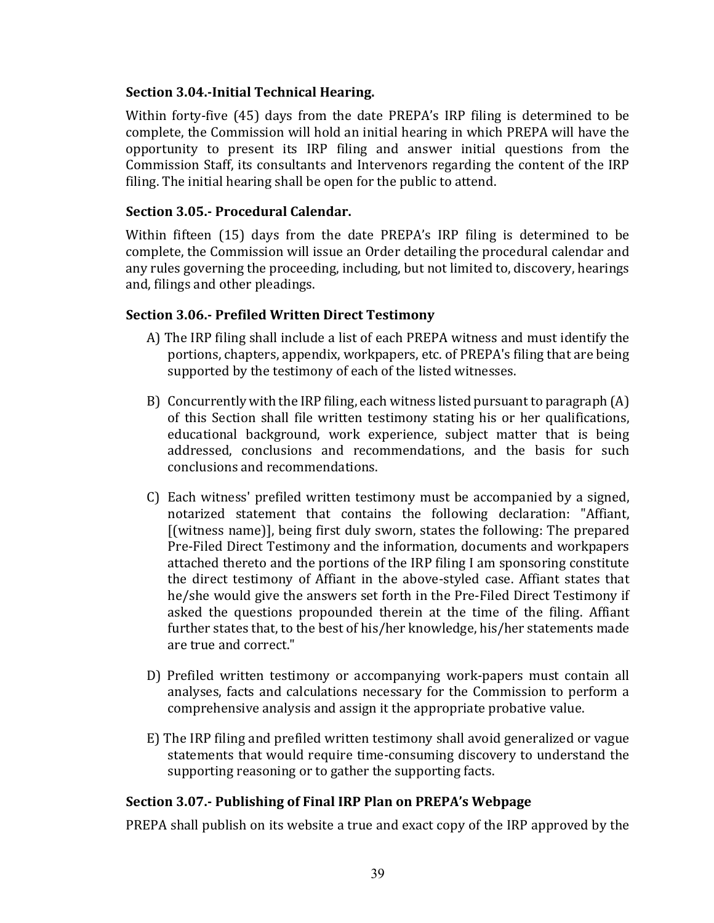# **Section 3.04.-Initial Technical Hearing.**

Within forty-five  $(45)$  days from the date PREPA's IRP filing is determined to be complete, the Commission will hold an initial hearing in which PREPA will have the opportunity to present its IRP filing and answer initial questions from the Commission Staff, its consultants and Intervenors regarding the content of the IRP filing. The initial hearing shall be open for the public to attend.

# **Section 3.05.- Procedural Calendar.**

Within fifteen (15) days from the date PREPA's IRP filing is determined to be complete, the Commission will issue an Order detailing the procedural calendar and any rules governing the proceeding, including, but not limited to, discovery, hearings and, filings and other pleadings.

### **Section 3.06.- Prefiled Written Direct Testimony**

- A) The IRP filing shall include a list of each PREPA witness and must identify the portions, chapters, appendix, workpapers, etc. of PREPA's filing that are being supported by the testimony of each of the listed witnesses.
- B) Concurrently with the IRP filing, each witness listed pursuant to paragraph  $(A)$ of this Section shall file written testimony stating his or her qualifications, educational background, work experience, subject matter that is being addressed, conclusions and recommendations, and the basis for such conclusions and recommendations.
- C) Each witness' prefiled written testimony must be accompanied by a signed, notarized statement that contains the following declaration: "Affiant,  $[$ (witness name)], being first duly sworn, states the following: The prepared Pre-Filed Direct Testimony and the information, documents and workpapers attached thereto and the portions of the IRP filing I am sponsoring constitute the direct testimony of Affiant in the above-styled case. Affiant states that he/she would give the answers set forth in the Pre-Filed Direct Testimony if asked the questions propounded therein at the time of the filing. Affiant further states that, to the best of his/her knowledge, his/her statements made are true and correct."
- D) Prefiled written testimony or accompanying work-papers must contain all analyses, facts and calculations necessary for the Commission to perform a comprehensive analysis and assign it the appropriate probative value.
- E) The IRP filing and prefiled written testimony shall avoid generalized or vague statements that would require time-consuming discovery to understand the supporting reasoning or to gather the supporting facts.

# **Section 3.07.- Publishing of Final IRP Plan on PREPA's Webpage**

PREPA shall publish on its website a true and exact copy of the IRP approved by the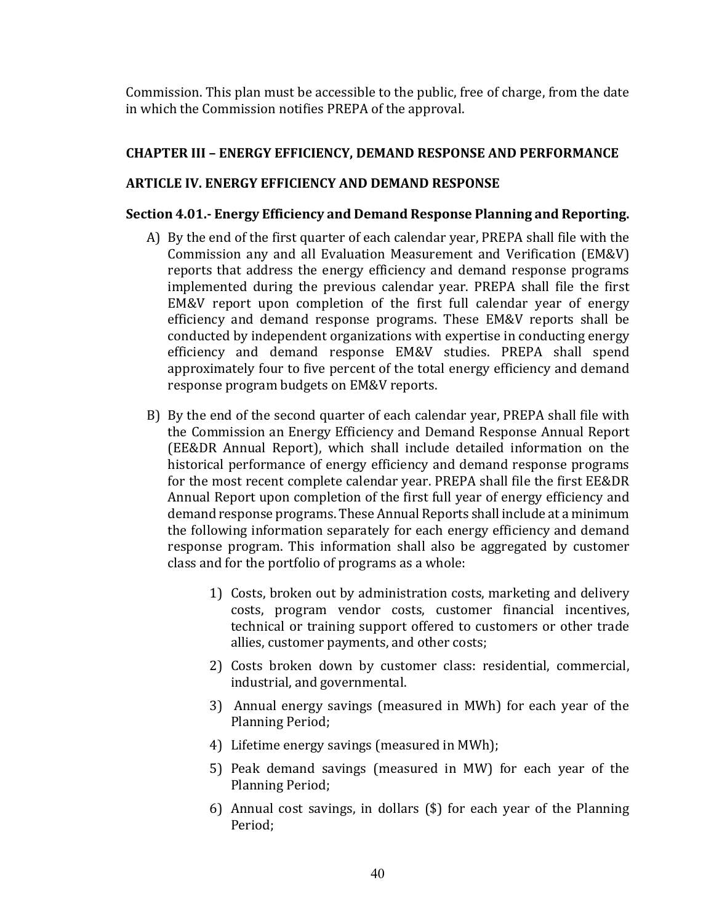Commission. This plan must be accessible to the public, free of charge, from the date in which the Commission notifies PREPA of the approval.

# **CHAPTER III – ENERGY EFFICIENCY, DEMAND RESPONSE AND PERFORMANCE**

# **ARTICLE IV. ENERGY EFFICIENCY AND DEMAND RESPONSE**

# **Section 4.01.- Energy Efficiency and Demand Response Planning and Reporting.**

- A) By the end of the first quarter of each calendar year, PREPA shall file with the Commission any and all Evaluation Measurement and Verification (EM&V) reports that address the energy efficiency and demand response programs implemented during the previous calendar year. PREPA shall file the first EM&V report upon completion of the first full calendar year of energy efficiency and demand response programs. These EM&V reports shall be conducted by independent organizations with expertise in conducting energy efficiency and demand response EM&V studies. PREPA shall spend approximately four to five percent of the total energy efficiency and demand response program budgets on EM&V reports.
- B) By the end of the second quarter of each calendar year, PREPA shall file with the Commission an Energy Efficiency and Demand Response Annual Report (EE&DR Annual Report), which shall include detailed information on the historical performance of energy efficiency and demand response programs for the most recent complete calendar year. PREPA shall file the first EE&DR Annual Report upon completion of the first full year of energy efficiency and demand response programs. These Annual Reports shall include at a minimum the following information separately for each energy efficiency and demand response program. This information shall also be aggregated by customer class and for the portfolio of programs as a whole:
	- 1) Costs, broken out by administration costs, marketing and delivery costs, program vendor costs, customer financial incentives, technical or training support offered to customers or other trade allies, customer payments, and other costs;
	- 2) Costs broken down by customer class: residential, commercial, industrial, and governmental.
	- 3) Annual energy savings (measured in MWh) for each year of the Planning Period;
	- 4) Lifetime energy savings (measured in MWh);
	- 5) Peak demand savings (measured in MW) for each year of the Planning Period;
	- 6) Annual cost savings, in dollars  $(\$)$  for each year of the Planning Period;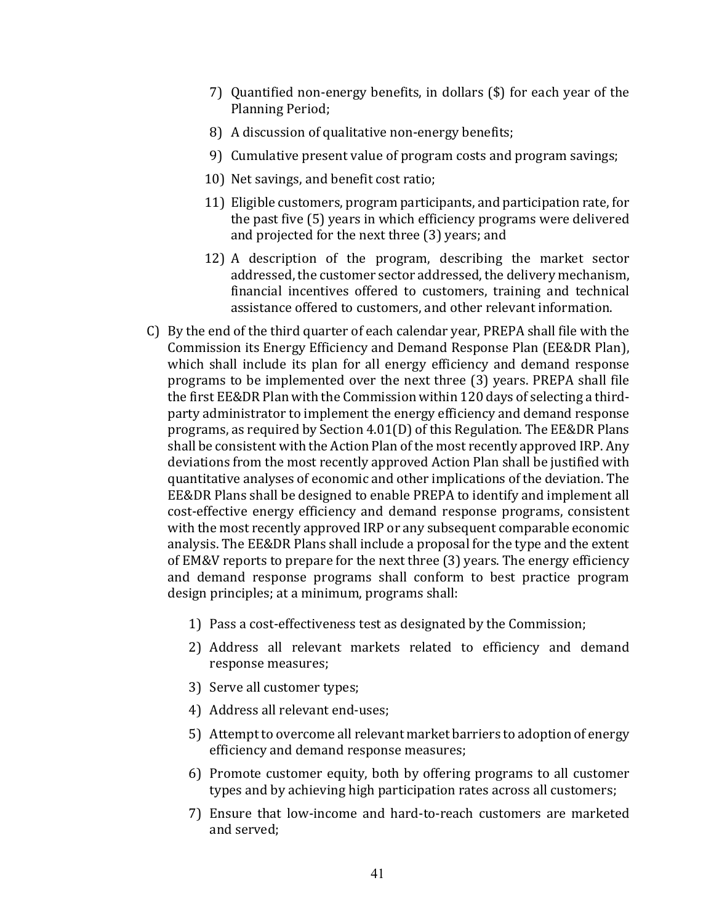- 7) Quantified non-energy benefits, in dollars  $(\$)$  for each year of the Planning Period;
- 8) A discussion of qualitative non-energy benefits;
- 9) Cumulative present value of program costs and program savings;
- 10) Net savings, and benefit cost ratio;
- 11) Eligible customers, program participants, and participation rate, for the past five (5) years in which efficiency programs were delivered and projected for the next three (3) years; and
- 12) A description of the program, describing the market sector addressed, the customer sector addressed, the delivery mechanism, financial incentives offered to customers, training and technical assistance offered to customers, and other relevant information.
- C) By the end of the third quarter of each calendar year, PREPA shall file with the Commission its Energy Efficiency and Demand Response Plan (EE&DR Plan), which shall include its plan for all energy efficiency and demand response programs to be implemented over the next three (3) years. PREPA shall file the first EE&DR Plan with the Commission within 120 days of selecting a thirdparty administrator to implement the energy efficiency and demand response programs, as required by Section  $4.01(D)$  of this Regulation. The EE&DR Plans shall be consistent with the Action Plan of the most recently approved IRP. Any deviations from the most recently approved Action Plan shall be justified with quantitative analyses of economic and other implications of the deviation. The EE&DR Plans shall be designed to enable PREPA to identify and implement all cost-effective energy efficiency and demand response programs, consistent with the most recently approved IRP or any subsequent comparable economic analysis. The EE&DR Plans shall include a proposal for the type and the extent of EM&V reports to prepare for the next three (3) years. The energy efficiency and demand response programs shall conform to best practice program design principles; at a minimum, programs shall:
	- 1) Pass a cost-effectiveness test as designated by the Commission;
	- 2) Address all relevant markets related to efficiency and demand response measures;
	- 3) Serve all customer types;
	- 4) Address all relevant end-uses;
	- 5) Attempt to overcome all relevant market barriers to adoption of energy efficiency and demand response measures;
	- 6) Promote customer equity, both by offering programs to all customer types and by achieving high participation rates across all customers;
	- 7) Ensure that low-income and hard-to-reach customers are marketed and served;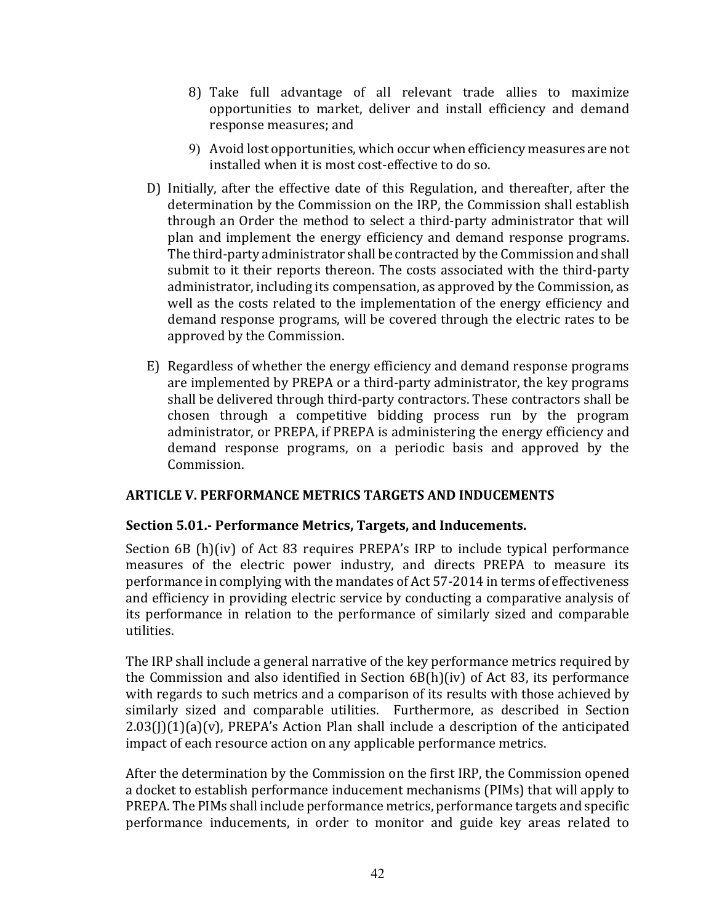- 8) Take full advantage of all relevant trade allies to maximize opportunities to market, deliver and install efficiency and demand response measures; and
- 9) Avoid lost opportunities, which occur when efficiency measures are not installed when it is most cost-effective to do so.
- D) Initially, after the effective date of this Regulation, and thereafter, after the determination by the Commission on the IRP, the Commission shall establish through an Order the method to select a third-party administrator that will plan and implement the energy efficiency and demand response programs. The third-party administrator shall be contracted by the Commission and shall submit to it their reports thereon. The costs associated with the third-party administrator, including its compensation, as approved by the Commission, as well as the costs related to the implementation of the energy efficiency and demand response programs, will be covered through the electric rates to be approved by the Commission.
- E) Regardless of whether the energy efficiency and demand response programs are implemented by PREPA or a third-party administrator, the key programs shall be delivered through third-party contractors. These contractors shall be chosen through a competitive bidding process run by the program administrator, or PREPA, if PREPA is administering the energy efficiency and demand response programs, on a periodic basis and approved by the Commission.

# **ARTICLE V. PERFORMANCE METRICS TARGETS AND INDUCEMENTS**

# **Section 5.01.- Performance Metrics, Targets, and Inducements.**

Section  $6B$  (h)(iv) of Act 83 requires PREPA's IRP to include typical performance measures of the electric power industry, and directs PREPA to measure its performance in complying with the mandates of Act 57-2014 in terms of effectiveness and efficiency in providing electric service by conducting a comparative analysis of its performance in relation to the performance of similarly sized and comparable utilities. 

The IRP shall include a general narrative of the key performance metrics required by the Commission and also identified in Section  $6B(h)(iv)$  of Act 83, its performance with regards to such metrics and a comparison of its results with those achieved by similarly sized and comparable utilities. Furthermore, as described in Section  $2.03(1)(1)(a)(v)$ , PREPA's Action Plan shall include a description of the anticipated impact of each resource action on any applicable performance metrics.

After the determination by the Commission on the first IRP, the Commission opened a docket to establish performance inducement mechanisms (PIMs) that will apply to PREPA. The PIMs shall include performance metrics, performance targets and specific performance inducements, in order to monitor and guide key areas related to